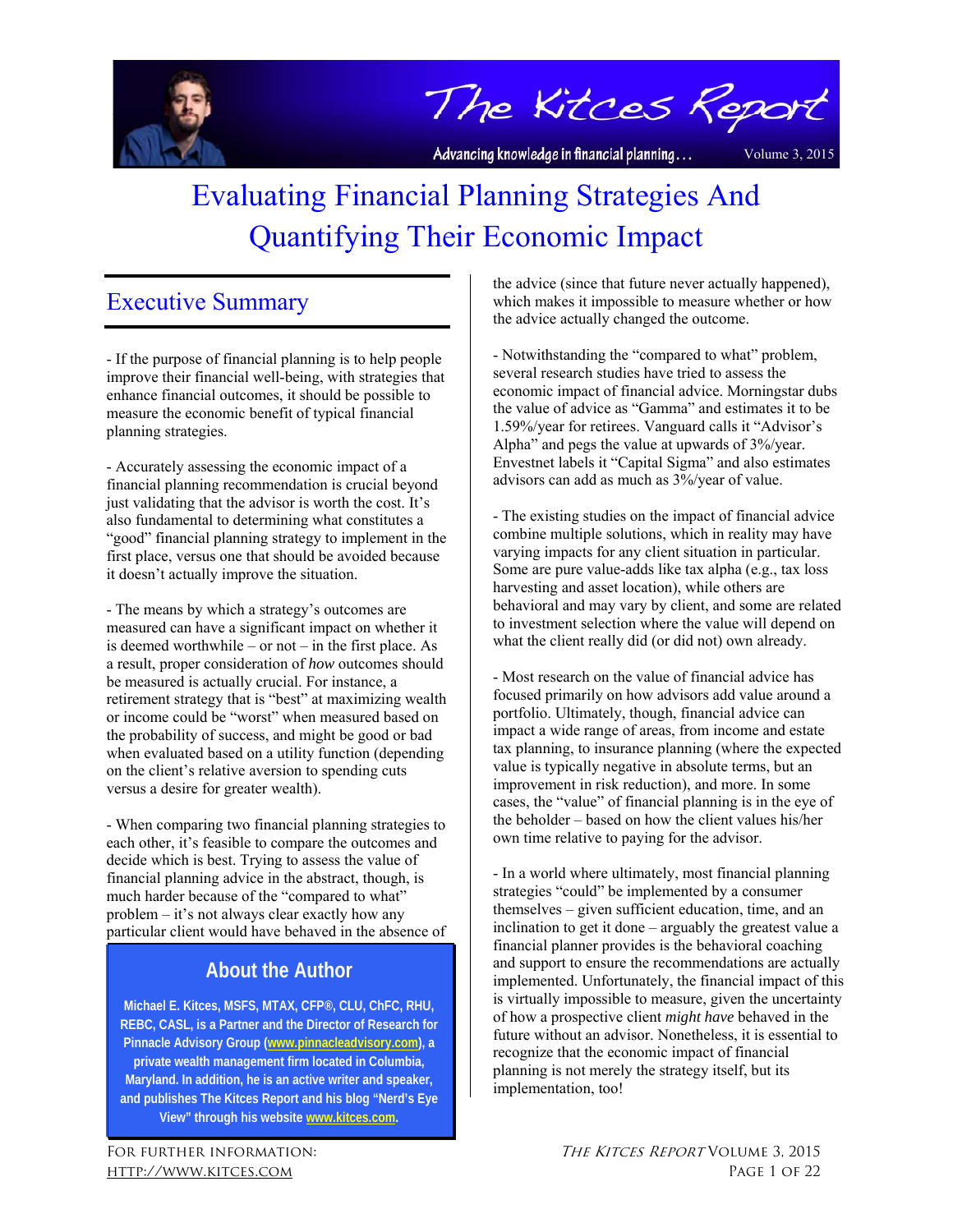

The Kitces Report

Advancing knowledge in financial planning...

Volume 3, 2015

# Evaluating Financial Planning Strategies And Quantifying Their Economic Impact

# Executive Summary

- If the purpose of financial planning is to help people improve their financial well-being, with strategies that enhance financial outcomes, it should be possible to measure the economic benefit of typical financial planning strategies.

- Accurately assessing the economic impact of a financial planning recommendation is crucial beyond just validating that the advisor is worth the cost. It's also fundamental to determining what constitutes a "good" financial planning strategy to implement in the first place, versus one that should be avoided because it doesn't actually improve the situation.

- The means by which a strategy's outcomes are measured can have a significant impact on whether it is deemed worthwhile – or not – in the first place. As a result, proper consideration of *how* outcomes should be measured is actually crucial. For instance, a retirement strategy that is "best" at maximizing wealth or income could be "worst" when measured based on the probability of success, and might be good or bad when evaluated based on a utility function (depending on the client's relative aversion to spending cuts versus a desire for greater wealth).

- When comparing two financial planning strategies to each other, it's feasible to compare the outcomes and decide which is best. Trying to assess the value of financial planning advice in the abstract, though, is much harder because of the "compared to what" problem – it's not always clear exactly how any particular client would have behaved in the absence of

# **About the Author**

**Michael E. Kitces, MSFS, MTAX, CFP®, CLU, ChFC, RHU, REBC, CASL, is a Partner and the Director of Research for Pinnacle Advisory Group (www.pinnacleadvisory.com), a private wealth management firm located in Columbia, Maryland. In addition, he is an active writer and speaker, and publishes The Kitces Report and his blog "Nerd's Eye View" through his website www.kitces.com.** 

the advice (since that future never actually happened), which makes it impossible to measure whether or how the advice actually changed the outcome.

- Notwithstanding the "compared to what" problem, several research studies have tried to assess the economic impact of financial advice. Morningstar dubs the value of advice as "Gamma" and estimates it to be 1.59%/year for retirees. Vanguard calls it "Advisor's Alpha" and pegs the value at upwards of 3%/year. Envestnet labels it "Capital Sigma" and also estimates advisors can add as much as 3%/year of value.

- The existing studies on the impact of financial advice combine multiple solutions, which in reality may have varying impacts for any client situation in particular. Some are pure value-adds like tax alpha (e.g., tax loss harvesting and asset location), while others are behavioral and may vary by client, and some are related to investment selection where the value will depend on what the client really did (or did not) own already.

- Most research on the value of financial advice has focused primarily on how advisors add value around a portfolio. Ultimately, though, financial advice can impact a wide range of areas, from income and estate tax planning, to insurance planning (where the expected value is typically negative in absolute terms, but an improvement in risk reduction), and more. In some cases, the "value" of financial planning is in the eye of the beholder – based on how the client values his/her own time relative to paying for the advisor.

- In a world where ultimately, most financial planning strategies "could" be implemented by a consumer themselves – given sufficient education, time, and an inclination to get it done – arguably the greatest value a financial planner provides is the behavioral coaching and support to ensure the recommendations are actually implemented. Unfortunately, the financial impact of this is virtually impossible to measure, given the uncertainty of how a prospective client *might have* behaved in the future without an advisor. Nonetheless, it is essential to recognize that the economic impact of financial planning is not merely the strategy itself, but its implementation, too!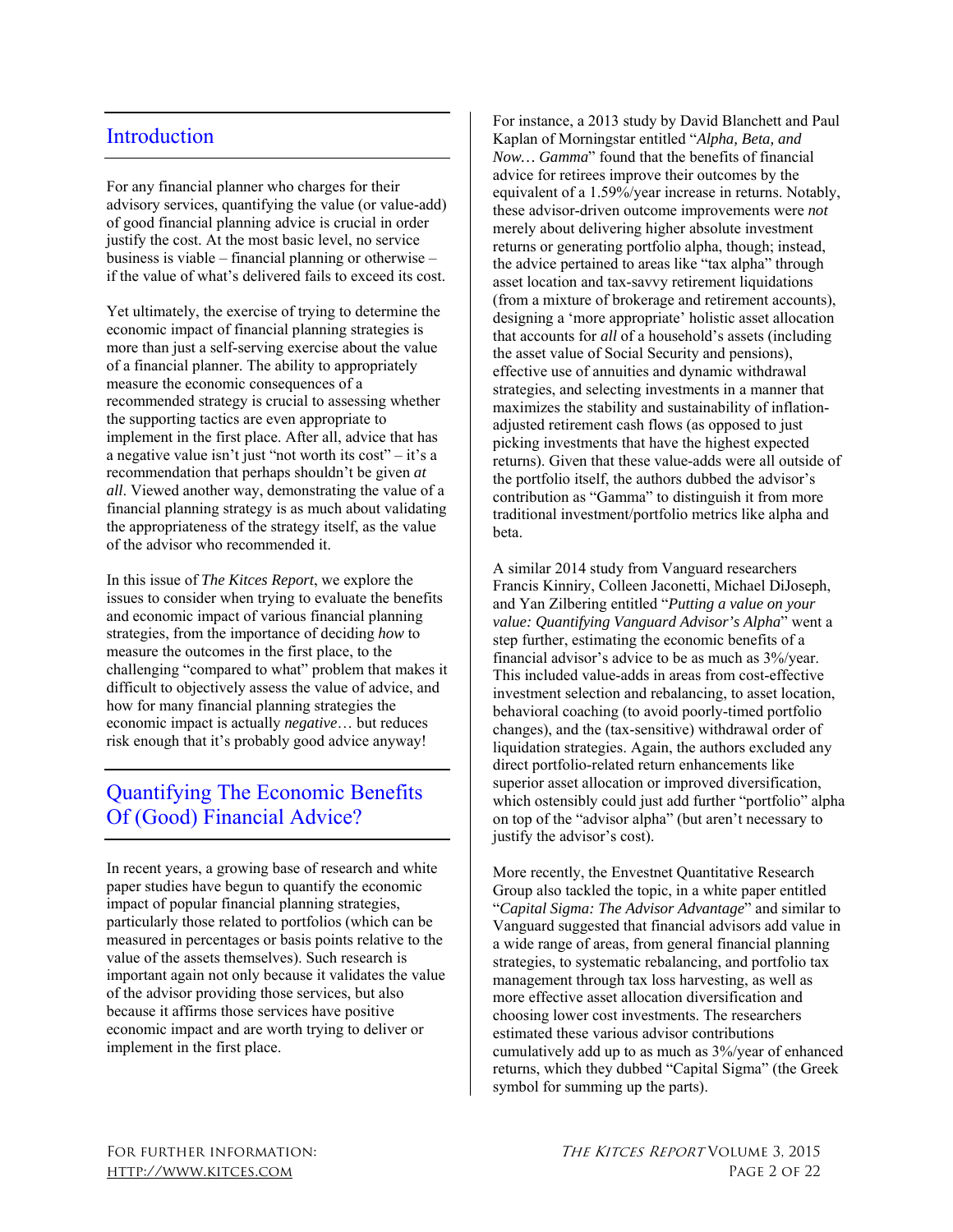## **Introduction**

For any financial planner who charges for their advisory services, quantifying the value (or value-add) of good financial planning advice is crucial in order justify the cost. At the most basic level, no service business is viable – financial planning or otherwise – if the value of what's delivered fails to exceed its cost.

Yet ultimately, the exercise of trying to determine the economic impact of financial planning strategies is more than just a self-serving exercise about the value of a financial planner. The ability to appropriately measure the economic consequences of a recommended strategy is crucial to assessing whether the supporting tactics are even appropriate to implement in the first place. After all, advice that has a negative value isn't just "not worth its cost" – it's a recommendation that perhaps shouldn't be given *at all*. Viewed another way, demonstrating the value of a financial planning strategy is as much about validating the appropriateness of the strategy itself, as the value of the advisor who recommended it.

In this issue of *The Kitces Report*, we explore the issues to consider when trying to evaluate the benefits and economic impact of various financial planning strategies, from the importance of deciding *how* to measure the outcomes in the first place, to the challenging "compared to what" problem that makes it difficult to objectively assess the value of advice, and how for many financial planning strategies the economic impact is actually *negative*… but reduces risk enough that it's probably good advice anyway!

# Quantifying The Economic Benefits Of (Good) Financial Advice?

In recent years, a growing base of research and white paper studies have begun to quantify the economic impact of popular financial planning strategies, particularly those related to portfolios (which can be measured in percentages or basis points relative to the value of the assets themselves). Such research is important again not only because it validates the value of the advisor providing those services, but also because it affirms those services have positive economic impact and are worth trying to deliver or implement in the first place.

For instance, a 2013 study by David Blanchett and Paul Kaplan of Morningstar entitled "*Alpha, Beta, and Now… Gamma*" found that the benefits of financial advice for retirees improve their outcomes by the equivalent of a 1.59%/year increase in returns. Notably, these advisor-driven outcome improvements were *not*  merely about delivering higher absolute investment returns or generating portfolio alpha, though; instead, the advice pertained to areas like "tax alpha" through asset location and tax-savvy retirement liquidations (from a mixture of brokerage and retirement accounts), designing a 'more appropriate' holistic asset allocation that accounts for *all* of a household's assets (including the asset value of Social Security and pensions), effective use of annuities and dynamic withdrawal strategies, and selecting investments in a manner that maximizes the stability and sustainability of inflationadjusted retirement cash flows (as opposed to just picking investments that have the highest expected returns). Given that these value-adds were all outside of the portfolio itself, the authors dubbed the advisor's contribution as "Gamma" to distinguish it from more traditional investment/portfolio metrics like alpha and beta.

A similar 2014 study from Vanguard researchers Francis Kinniry, Colleen Jaconetti, Michael DiJoseph, and Yan Zilbering entitled "*Putting a value on your value: Quantifying Vanguard Advisor's Alpha*" went a step further, estimating the economic benefits of a financial advisor's advice to be as much as 3%/year. This included value-adds in areas from cost-effective investment selection and rebalancing, to asset location, behavioral coaching (to avoid poorly-timed portfolio changes), and the (tax-sensitive) withdrawal order of liquidation strategies. Again, the authors excluded any direct portfolio-related return enhancements like superior asset allocation or improved diversification, which ostensibly could just add further "portfolio" alpha on top of the "advisor alpha" (but aren't necessary to justify the advisor's cost).

More recently, the Envestnet Quantitative Research Group also tackled the topic, in a white paper entitled "*Capital Sigma: The Advisor Advantage*" and similar to Vanguard suggested that financial advisors add value in a wide range of areas, from general financial planning strategies, to systematic rebalancing, and portfolio tax management through tax loss harvesting, as well as more effective asset allocation diversification and choosing lower cost investments. The researchers estimated these various advisor contributions cumulatively add up to as much as 3%/year of enhanced returns, which they dubbed "Capital Sigma" (the Greek symbol for summing up the parts).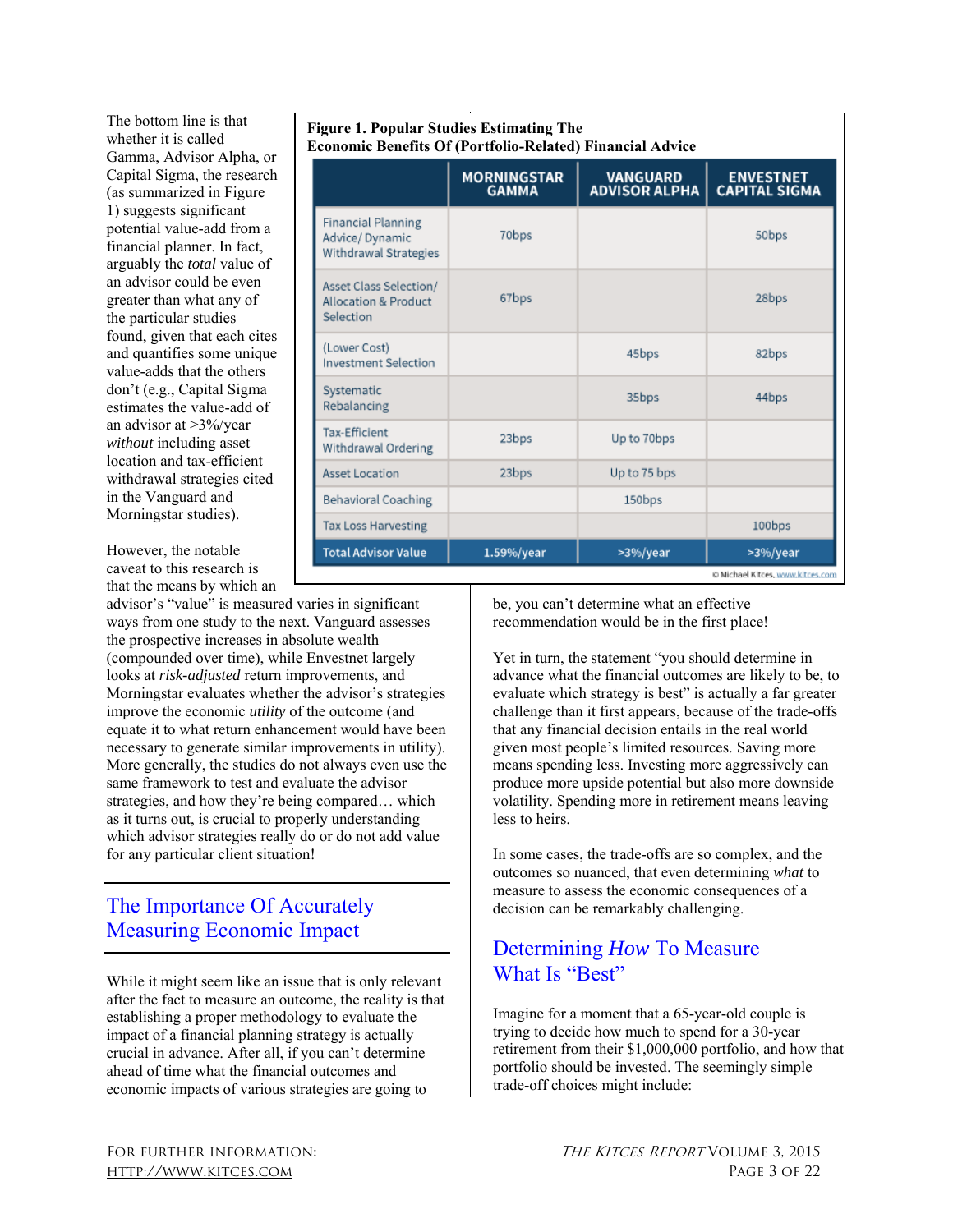The bottom line is that whether it is called Gamma, Advisor Alpha, or Capital Sigma, the research (as summarized in Figure 1) suggests significant potential value-add from a financial planner. In fact, arguably the *total* value of an advisor could be even greater than what any of the particular studies found, given that each cites and quantifies some unique value-adds that the others don't (e.g., Capital Sigma estimates the value-add of an advisor at >3%/year *without* including asset location and tax-efficient withdrawal strategies cited in the Vanguard and Morningstar studies).

However, the notable caveat to this research is that the means by which an

advisor's "value" is measured varies in significant ways from one study to the next. Vanguard assesses the prospective increases in absolute wealth (compounded over time), while Envestnet largely looks at *risk-adjusted* return improvements, and Morningstar evaluates whether the advisor's strategies improve the economic *utility* of the outcome (and equate it to what return enhancement would have been necessary to generate similar improvements in utility). More generally, the studies do not always even use the same framework to test and evaluate the advisor strategies, and how they're being compared… which as it turns out, is crucial to properly understanding which advisor strategies really do or do not add value for any particular client situation!

# The Importance Of Accurately Measuring Economic Impact

While it might seem like an issue that is only relevant after the fact to measure an outcome, the reality is that establishing a proper methodology to evaluate the impact of a financial planning strategy is actually crucial in advance. After all, if you can't determine ahead of time what the financial outcomes and economic impacts of various strategies are going to

|                                                                        | <b>MORNINGSTAR</b><br><b>GAMMA</b> | <b>VANGUARD</b><br><b>ADVISOR ALPHA</b> | <b>ENVESTNET</b><br><b>CAPITAL SIGMA</b> |
|------------------------------------------------------------------------|------------------------------------|-----------------------------------------|------------------------------------------|
| <b>Financial Planning</b><br>Advice/Dynamic<br>Withdrawal Strategies   | 70bps                              |                                         | 50bps                                    |
| Asset Class Selection/<br><b>Allocation &amp; Product</b><br>Selection | 67bps                              |                                         | 28bps                                    |
| (Lower Cost)<br><b>Investment Selection</b>                            |                                    | 45bps                                   | 82bps                                    |
| Systematic<br>Rebalancing                                              |                                    | 35bps                                   | 44bps                                    |
| <b>Tax-Efficient</b><br>Withdrawal Ordering                            | 23bps                              | Up to 70bps                             |                                          |
| <b>Asset Location</b>                                                  | 23bps                              | Up to 75 bps                            |                                          |
| <b>Behavioral Coaching</b>                                             |                                    | 150bps                                  |                                          |
| <b>Tax Loss Harvesting</b>                                             |                                    |                                         | 100bps                                   |
| <b>Total Advisor Value</b>                                             | 1.59%/year                         | >3%/year                                | >3%/year                                 |

**Figure 1. Popular Studies Estimating The** 

be, you can't determine what an effective recommendation would be in the first place!

Yet in turn, the statement "you should determine in advance what the financial outcomes are likely to be, to evaluate which strategy is best" is actually a far greater challenge than it first appears, because of the trade-offs that any financial decision entails in the real world given most people's limited resources. Saving more means spending less. Investing more aggressively can produce more upside potential but also more downside volatility. Spending more in retirement means leaving less to heirs.

In some cases, the trade-offs are so complex, and the outcomes so nuanced, that even determining *what* to measure to assess the economic consequences of a decision can be remarkably challenging.

# Determining *How* To Measure What Is "Best"

Imagine for a moment that a 65-year-old couple is trying to decide how much to spend for a 30-year retirement from their \$1,000,000 portfolio, and how that portfolio should be invested. The seemingly simple trade-off choices might include: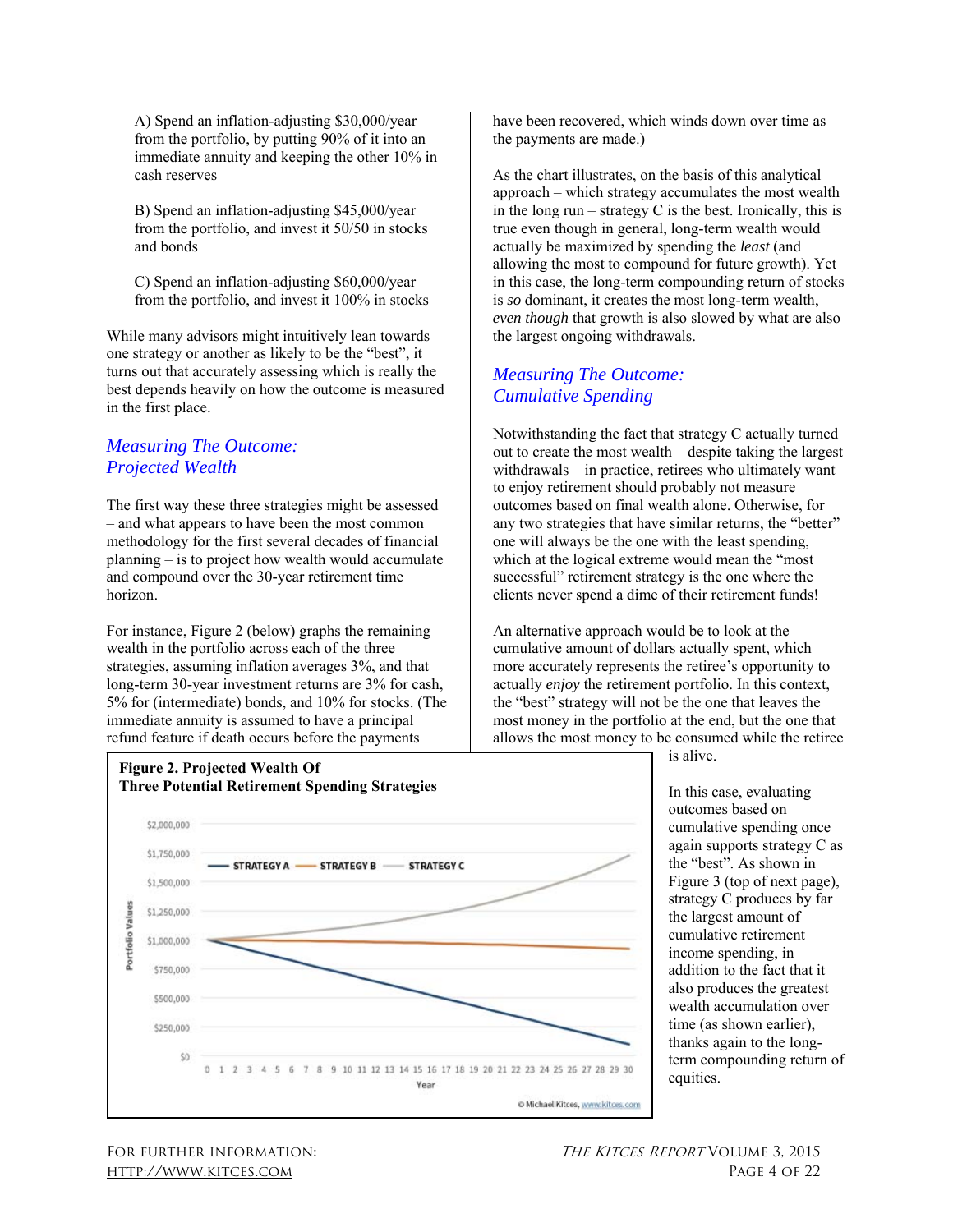A) Spend an inflation-adjusting \$30,000/year from the portfolio, by putting 90% of it into an immediate annuity and keeping the other 10% in cash reserves

B) Spend an inflation-adjusting \$45,000/year from the portfolio, and invest it 50/50 in stocks and bonds

C) Spend an inflation-adjusting \$60,000/year from the portfolio, and invest it 100% in stocks

While many advisors might intuitively lean towards one strategy or another as likely to be the "best", it turns out that accurately assessing which is really the best depends heavily on how the outcome is measured in the first place.

### *Measuring The Outcome: Projected Wealth*

The first way these three strategies might be assessed – and what appears to have been the most common methodology for the first several decades of financial planning – is to project how wealth would accumulate and compound over the 30-year retirement time horizon.

For instance, Figure 2 (below) graphs the remaining wealth in the portfolio across each of the three strategies, assuming inflation averages 3%, and that long-term 30-year investment returns are 3% for cash, 5% for (intermediate) bonds, and 10% for stocks. (The immediate annuity is assumed to have a principal refund feature if death occurs before the payments

have been recovered, which winds down over time as the payments are made.)

As the chart illustrates, on the basis of this analytical approach – which strategy accumulates the most wealth in the long run – strategy  $C$  is the best. Ironically, this is true even though in general, long-term wealth would actually be maximized by spending the *least* (and allowing the most to compound for future growth). Yet in this case, the long-term compounding return of stocks is *so* dominant, it creates the most long-term wealth, *even though* that growth is also slowed by what are also the largest ongoing withdrawals.

#### *Measuring The Outcome: Cumulative Spending*

Notwithstanding the fact that strategy C actually turned out to create the most wealth – despite taking the largest withdrawals – in practice, retirees who ultimately want to enjoy retirement should probably not measure outcomes based on final wealth alone. Otherwise, for any two strategies that have similar returns, the "better" one will always be the one with the least spending, which at the logical extreme would mean the "most successful" retirement strategy is the one where the clients never spend a dime of their retirement funds!

An alternative approach would be to look at the cumulative amount of dollars actually spent, which more accurately represents the retiree's opportunity to actually *enjoy* the retirement portfolio. In this context, the "best" strategy will not be the one that leaves the most money in the portfolio at the end, but the one that allows the most money to be consumed while the retiree



is alive.

In this case, evaluating outcomes based on cumulative spending once again supports strategy C as the "best". As shown in Figure 3 (top of next page), strategy C produces by far the largest amount of cumulative retirement income spending, in addition to the fact that it also produces the greatest wealth accumulation over time (as shown earlier), thanks again to the longterm compounding return of equities.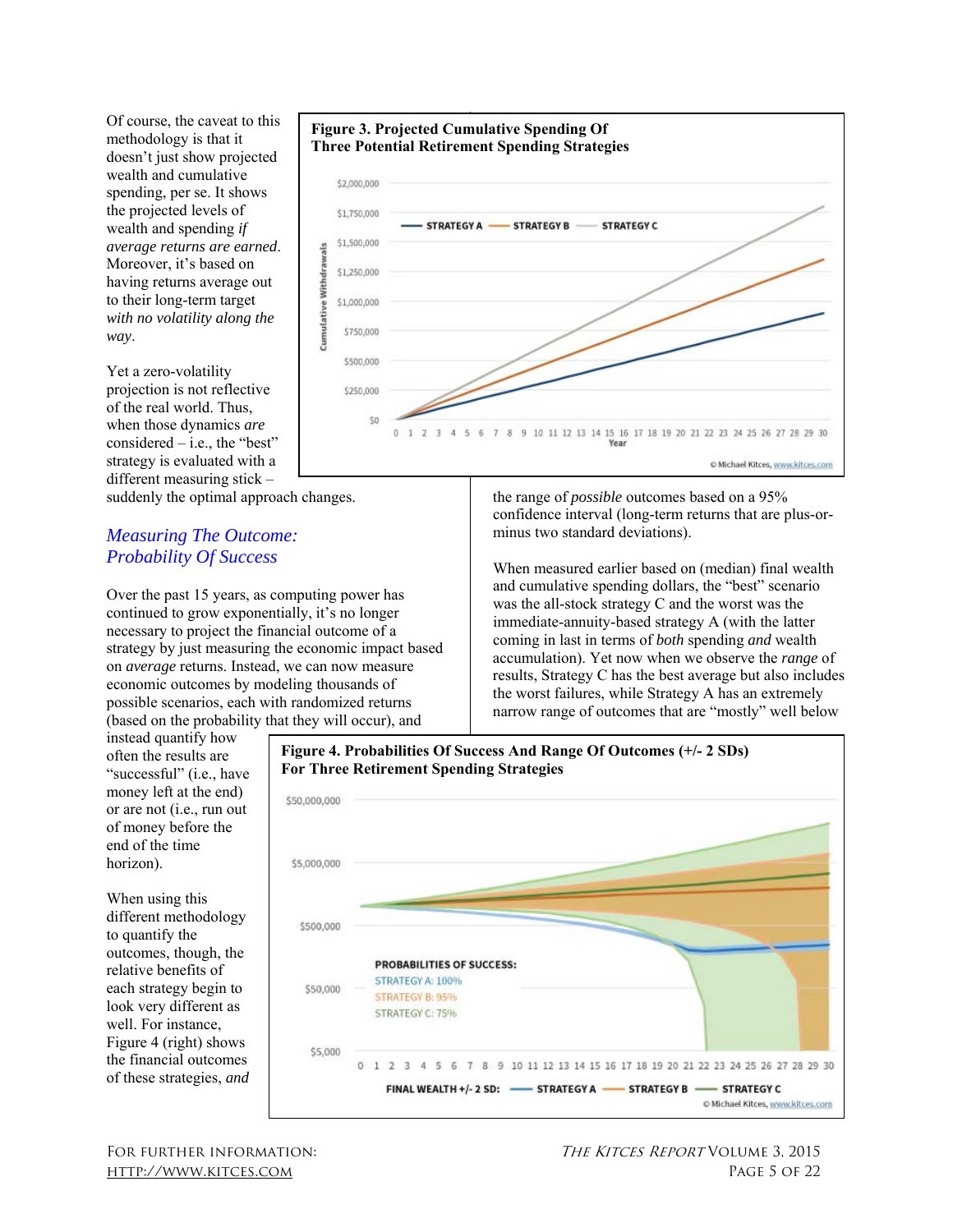Of course, the caveat to this methodology is that it doesn't just show projected wealth and cumulative spending, per se. It shows the projected levels of wealth and spending *if average returns are earned*. Moreover, it's based on having returns average out to their long-term target *with no volatility along the way*.

Yet a zero-volatility projection is not reflective of the real world. Thus, when those dynamics *are*  considered  $-$  i.e., the "best" strategy is evaluated with a different measuring stick –

suddenly the optimal approach changes.

#### *Measuring The Outcome: Probability Of Success*

Over the past 15 years, as computing power has continued to grow exponentially, it's no longer necessary to project the financial outcome of a strategy by just measuring the economic impact based on *average* returns. Instead, we can now measure economic outcomes by modeling thousands of possible scenarios, each with randomized returns (based on the probability that they will occur), and

instead quantify how often the results are "successful" (i.e., have money left at the end) or are not (i.e., run out of money before the end of the time horizon).

When using this different methodology to quantify the outcomes, though, the relative benefits of each strategy begin to look very different as well. For instance, Figure 4 (right) shows the financial outcomes of these strategies, *and* 



the range of *possible* outcomes based on a 95% confidence interval (long-term returns that are plus-orminus two standard deviations).

When measured earlier based on (median) final wealth and cumulative spending dollars, the "best" scenario was the all-stock strategy C and the worst was the immediate-annuity-based strategy A (with the latter coming in last in terms of *both* spending *and* wealth accumulation). Yet now when we observe the *range* of results, Strategy C has the best average but also includes the worst failures, while Strategy A has an extremely narrow range of outcomes that are "mostly" well below

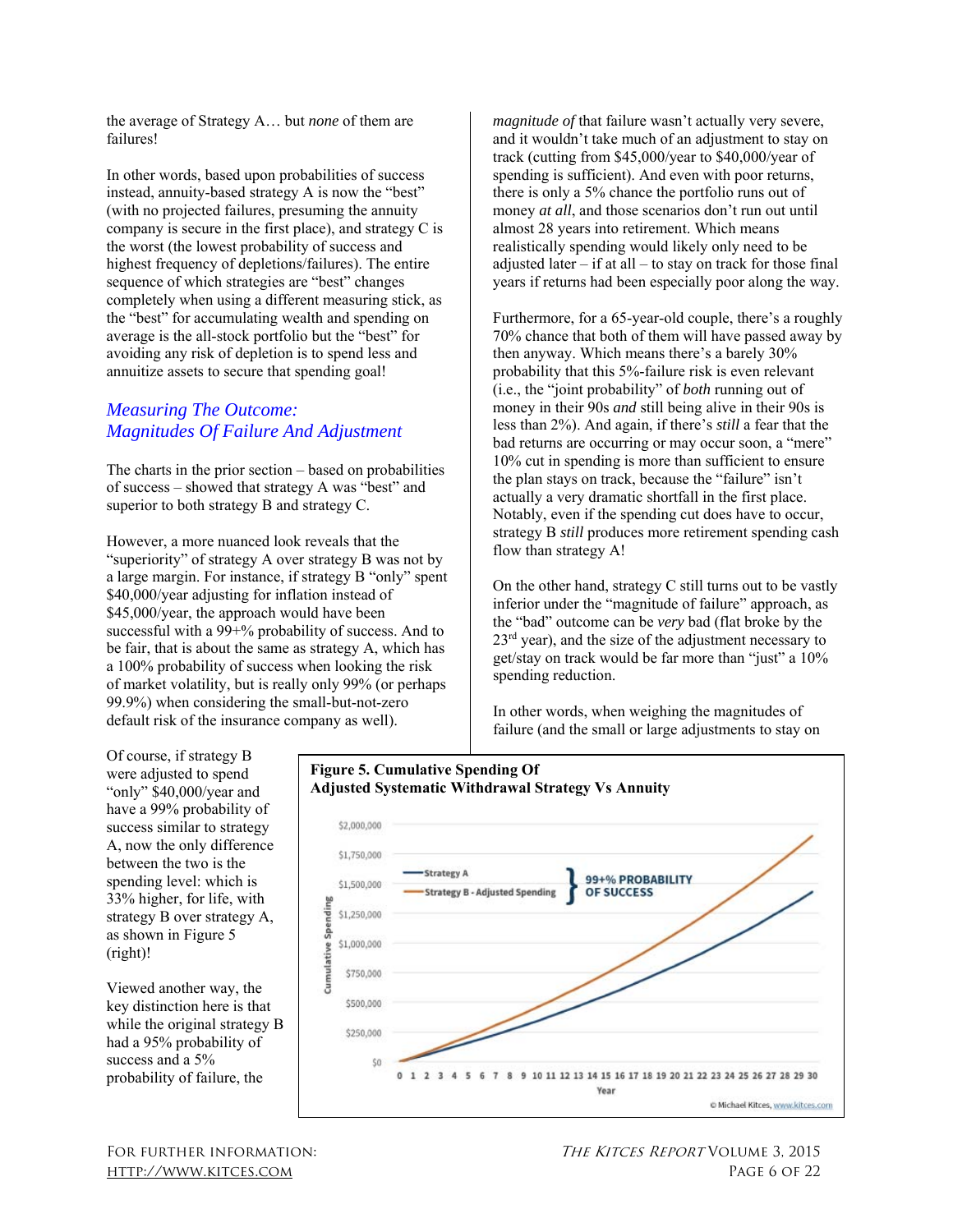the average of Strategy A… but *none* of them are failures!

In other words, based upon probabilities of success instead, annuity-based strategy A is now the "best" (with no projected failures, presuming the annuity company is secure in the first place), and strategy C is the worst (the lowest probability of success and highest frequency of depletions/failures). The entire sequence of which strategies are "best" changes completely when using a different measuring stick, as the "best" for accumulating wealth and spending on average is the all-stock portfolio but the "best" for avoiding any risk of depletion is to spend less and annuitize assets to secure that spending goal!

### *Measuring The Outcome: Magnitudes Of Failure And Adjustment*

The charts in the prior section – based on probabilities of success – showed that strategy A was "best" and superior to both strategy B and strategy C.

However, a more nuanced look reveals that the "superiority" of strategy A over strategy B was not by a large margin. For instance, if strategy B "only" spent \$40,000/year adjusting for inflation instead of \$45,000/year, the approach would have been successful with a 99+% probability of success. And to be fair, that is about the same as strategy A, which has a 100% probability of success when looking the risk of market volatility, but is really only 99% (or perhaps 99.9%) when considering the small-but-not-zero default risk of the insurance company as well).

*magnitude of* that failure wasn't actually very severe, and it wouldn't take much of an adjustment to stay on track (cutting from \$45,000/year to \$40,000/year of spending is sufficient). And even with poor returns, there is only a 5% chance the portfolio runs out of money *at all*, and those scenarios don't run out until almost 28 years into retirement. Which means realistically spending would likely only need to be adjusted later – if at all – to stay on track for those final years if returns had been especially poor along the way.

Furthermore, for a 65-year-old couple, there's a roughly 70% chance that both of them will have passed away by then anyway. Which means there's a barely 30% probability that this 5%-failure risk is even relevant (i.e., the "joint probability" of *both* running out of money in their 90s *and* still being alive in their 90s is less than 2%). And again, if there's *still* a fear that the bad returns are occurring or may occur soon, a "mere" 10% cut in spending is more than sufficient to ensure the plan stays on track, because the "failure" isn't actually a very dramatic shortfall in the first place. Notably, even if the spending cut does have to occur, strategy B *still* produces more retirement spending cash flow than strategy A!

On the other hand, strategy C still turns out to be vastly inferior under the "magnitude of failure" approach, as the "bad" outcome can be *very* bad (flat broke by the  $23<sup>rd</sup>$  year), and the size of the adjustment necessary to get/stay on track would be far more than "just" a 10% spending reduction.

In other words, when weighing the magnitudes of failure (and the small or large adjustments to stay on

Of course, if strategy B were adjusted to spend "only" \$40,000/year and have a 99% probability of success similar to strategy A, now the only difference between the two is the spending level: which is 33% higher, for life, with strategy B over strategy A, as shown in Figure 5 (right)!

Viewed another way, the key distinction here is that while the original strategy B had a 95% probability of success and a 5% probability of failure, the



#### **Figure 5. Cumulative Spending Of Adjusted Systematic Withdrawal Strategy Vs Annuity**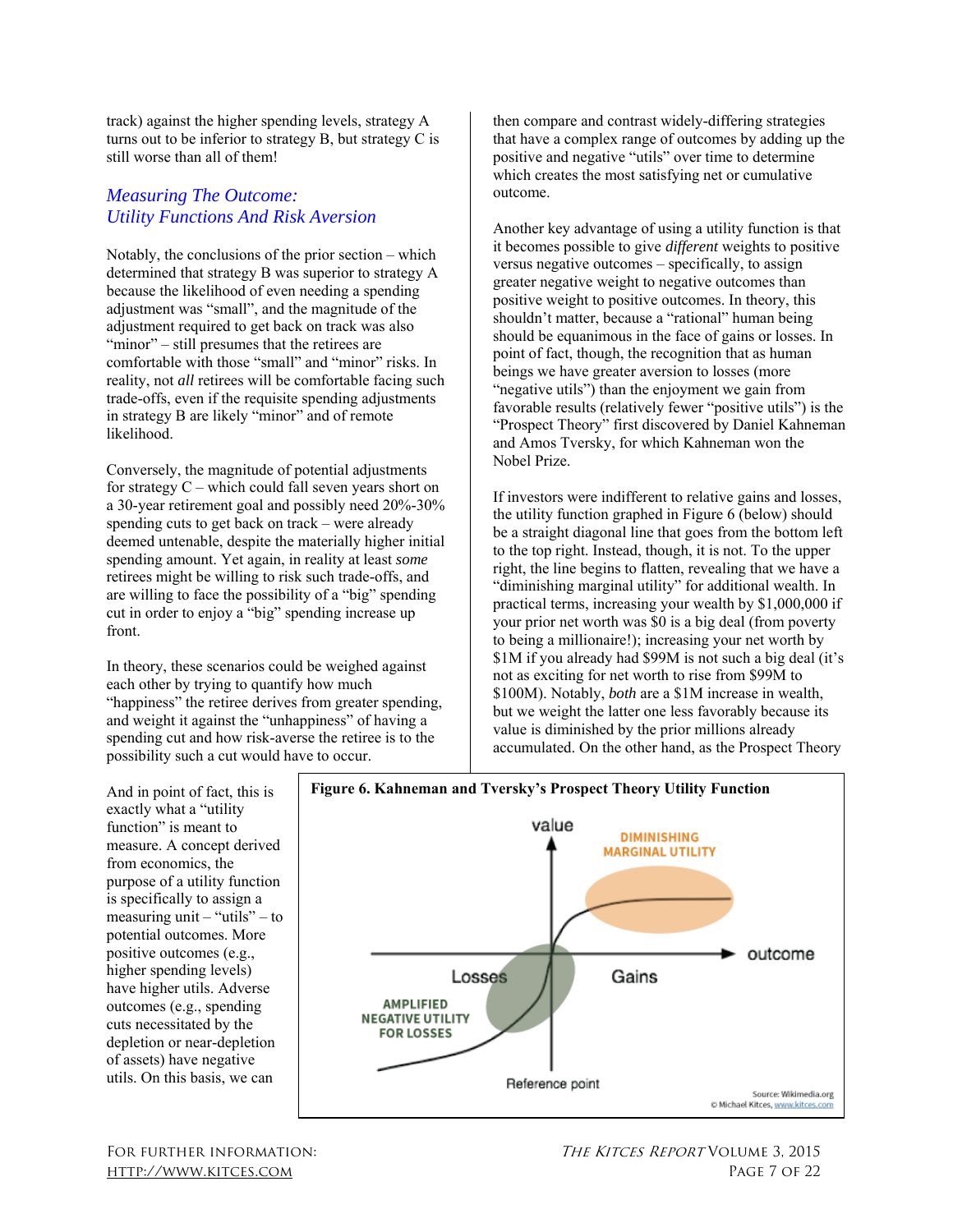track) against the higher spending levels, strategy A turns out to be inferior to strategy B, but strategy C is still worse than all of them!

### *Measuring The Outcome: Utility Functions And Risk Aversion*

Notably, the conclusions of the prior section – which determined that strategy B was superior to strategy A because the likelihood of even needing a spending adjustment was "small", and the magnitude of the adjustment required to get back on track was also "minor" – still presumes that the retirees are comfortable with those "small" and "minor" risks. In reality, not *all* retirees will be comfortable facing such trade-offs, even if the requisite spending adjustments in strategy B are likely "minor" and of remote likelihood.

Conversely, the magnitude of potential adjustments for strategy C – which could fall seven years short on a 30-year retirement goal and possibly need 20%-30% spending cuts to get back on track – were already deemed untenable, despite the materially higher initial spending amount. Yet again, in reality at least *some*  retirees might be willing to risk such trade-offs, and are willing to face the possibility of a "big" spending cut in order to enjoy a "big" spending increase up front.

In theory, these scenarios could be weighed against each other by trying to quantify how much "happiness" the retiree derives from greater spending, and weight it against the "unhappiness" of having a spending cut and how risk-averse the retiree is to the possibility such a cut would have to occur.

then compare and contrast widely-differing strategies that have a complex range of outcomes by adding up the positive and negative "utils" over time to determine which creates the most satisfying net or cumulative outcome.

Another key advantage of using a utility function is that it becomes possible to give *different* weights to positive versus negative outcomes – specifically, to assign greater negative weight to negative outcomes than positive weight to positive outcomes. In theory, this shouldn't matter, because a "rational" human being should be equanimous in the face of gains or losses. In point of fact, though, the recognition that as human beings we have greater aversion to losses (more "negative utils") than the enjoyment we gain from favorable results (relatively fewer "positive utils") is the "Prospect Theory" first discovered by Daniel Kahneman and Amos Tversky, for which Kahneman won the Nobel Prize.

If investors were indifferent to relative gains and losses, the utility function graphed in Figure 6 (below) should be a straight diagonal line that goes from the bottom left to the top right. Instead, though, it is not. To the upper right, the line begins to flatten, revealing that we have a "diminishing marginal utility" for additional wealth. In practical terms, increasing your wealth by \$1,000,000 if your prior net worth was \$0 is a big deal (from poverty to being a millionaire!); increasing your net worth by \$1M if you already had \$99M is not such a big deal (it's not as exciting for net worth to rise from \$99M to \$100M). Notably, *both* are a \$1M increase in wealth, but we weight the latter one less favorably because its value is diminished by the prior millions already accumulated. On the other hand, as the Prospect Theory

And in point of fact, this is exactly what a "utility function" is meant to measure. A concept derived from economics, the purpose of a utility function is specifically to assign a measuring unit  $-$  "utils" – to potential outcomes. More positive outcomes (e.g., higher spending levels) have higher utils. Adverse outcomes (e.g., spending cuts necessitated by the depletion or near-depletion of assets) have negative utils. On this basis, we can

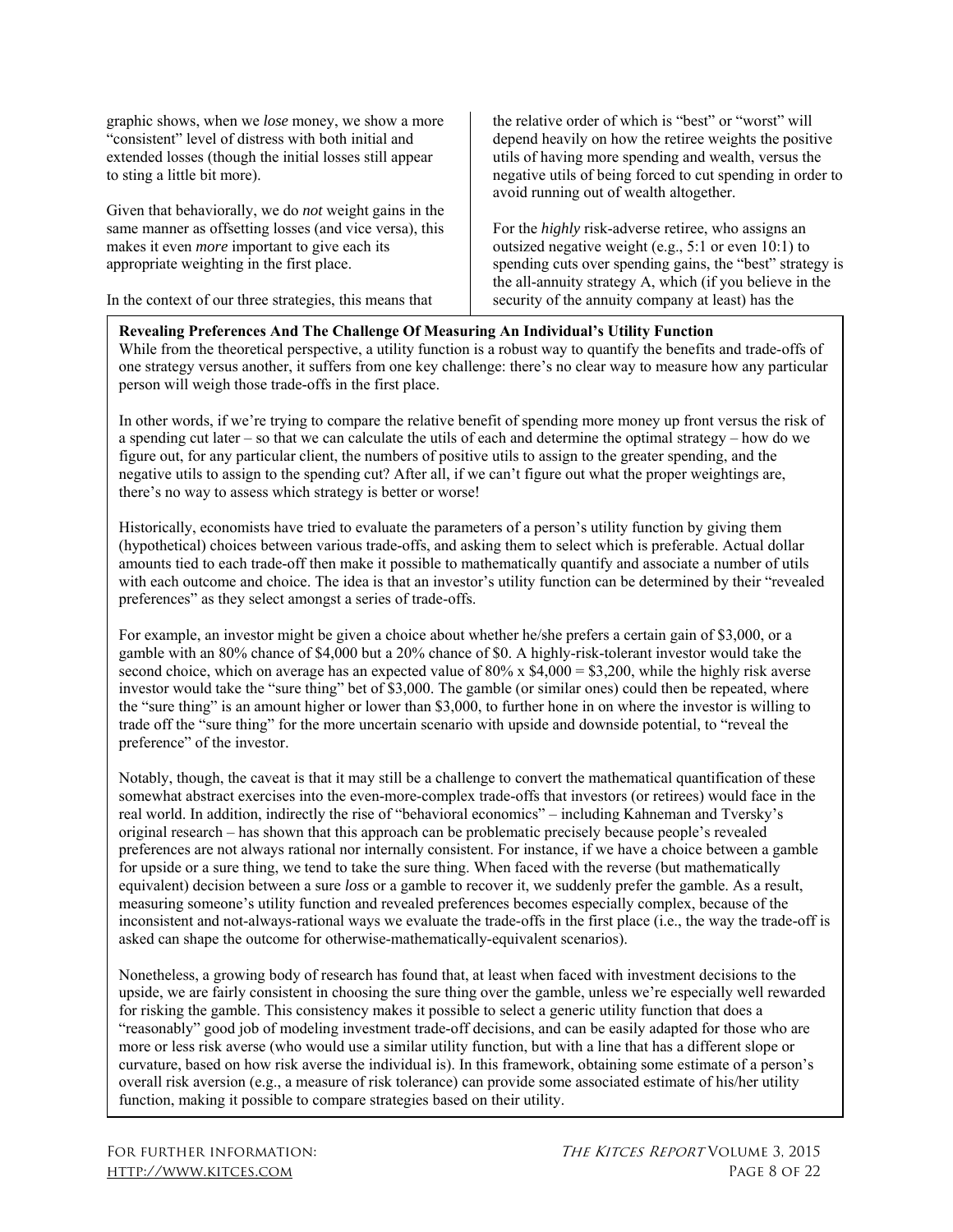graphic shows, when we *lose* money, we show a more "consistent" level of distress with both initial and extended losses (though the initial losses still appear to sting a little bit more).

Given that behaviorally, we do *not* weight gains in the same manner as offsetting losses (and vice versa), this makes it even *more* important to give each its appropriate weighting in the first place.

In the context of our three strategies, this means that

the relative order of which is "best" or "worst" will depend heavily on how the retiree weights the positive utils of having more spending and wealth, versus the negative utils of being forced to cut spending in order to avoid running out of wealth altogether.

For the *highly* risk-adverse retiree, who assigns an outsized negative weight (e.g., 5:1 or even 10:1) to spending cuts over spending gains, the "best" strategy is the all-annuity strategy A, which (if you believe in the security of the annuity company at least) has the

#### **Revealing Preferences And The Challenge Of Measuring An Individual's Utility Function**

While from the theoretical perspective, a utility function is a robust way to quantify the benefits and trade-offs of one strategy versus another, it suffers from one key challenge: there's no clear way to measure how any particular person will weigh those trade-offs in the first place.

In other words, if we're trying to compare the relative benefit of spending more money up front versus the risk of a spending cut later – so that we can calculate the utils of each and determine the optimal strategy – how do we figure out, for any particular client, the numbers of positive utils to assign to the greater spending, and the negative utils to assign to the spending cut? After all, if we can't figure out what the proper weightings are, there's no way to assess which strategy is better or worse!

Historically, economists have tried to evaluate the parameters of a person's utility function by giving them (hypothetical) choices between various trade-offs, and asking them to select which is preferable. Actual dollar amounts tied to each trade-off then make it possible to mathematically quantify and associate a number of utils with each outcome and choice. The idea is that an investor's utility function can be determined by their "revealed preferences" as they select amongst a series of trade-offs.

For example, an investor might be given a choice about whether he/she prefers a certain gain of \$3,000, or a gamble with an 80% chance of \$4,000 but a 20% chance of \$0. A highly-risk-tolerant investor would take the second choice, which on average has an expected value of  $80\%$  x  $$4,000 = $3,200$ , while the highly risk averse investor would take the "sure thing" bet of \$3,000. The gamble (or similar ones) could then be repeated, where the "sure thing" is an amount higher or lower than \$3,000, to further hone in on where the investor is willing to trade off the "sure thing" for the more uncertain scenario with upside and downside potential, to "reveal the preference" of the investor.

Notably, though, the caveat is that it may still be a challenge to convert the mathematical quantification of these somewhat abstract exercises into the even-more-complex trade-offs that investors (or retirees) would face in the real world. In addition, indirectly the rise of "behavioral economics" – including Kahneman and Tversky's original research – has shown that this approach can be problematic precisely because people's revealed preferences are not always rational nor internally consistent. For instance, if we have a choice between a gamble for upside or a sure thing, we tend to take the sure thing. When faced with the reverse (but mathematically equivalent) decision between a sure *loss* or a gamble to recover it, we suddenly prefer the gamble. As a result, measuring someone's utility function and revealed preferences becomes especially complex, because of the inconsistent and not-always-rational ways we evaluate the trade-offs in the first place (i.e., the way the trade-off is asked can shape the outcome for otherwise-mathematically-equivalent scenarios).

Nonetheless, a growing body of research has found that, at least when faced with investment decisions to the upside, we are fairly consistent in choosing the sure thing over the gamble, unless we're especially well rewarded for risking the gamble. This consistency makes it possible to select a generic utility function that does a "reasonably" good job of modeling investment trade-off decisions, and can be easily adapted for those who are more or less risk averse (who would use a similar utility function, but with a line that has a different slope or curvature, based on how risk averse the individual is). In this framework, obtaining some estimate of a person's overall risk aversion (e.g., a measure of risk tolerance) can provide some associated estimate of his/her utility function, making it possible to compare strategies based on their utility.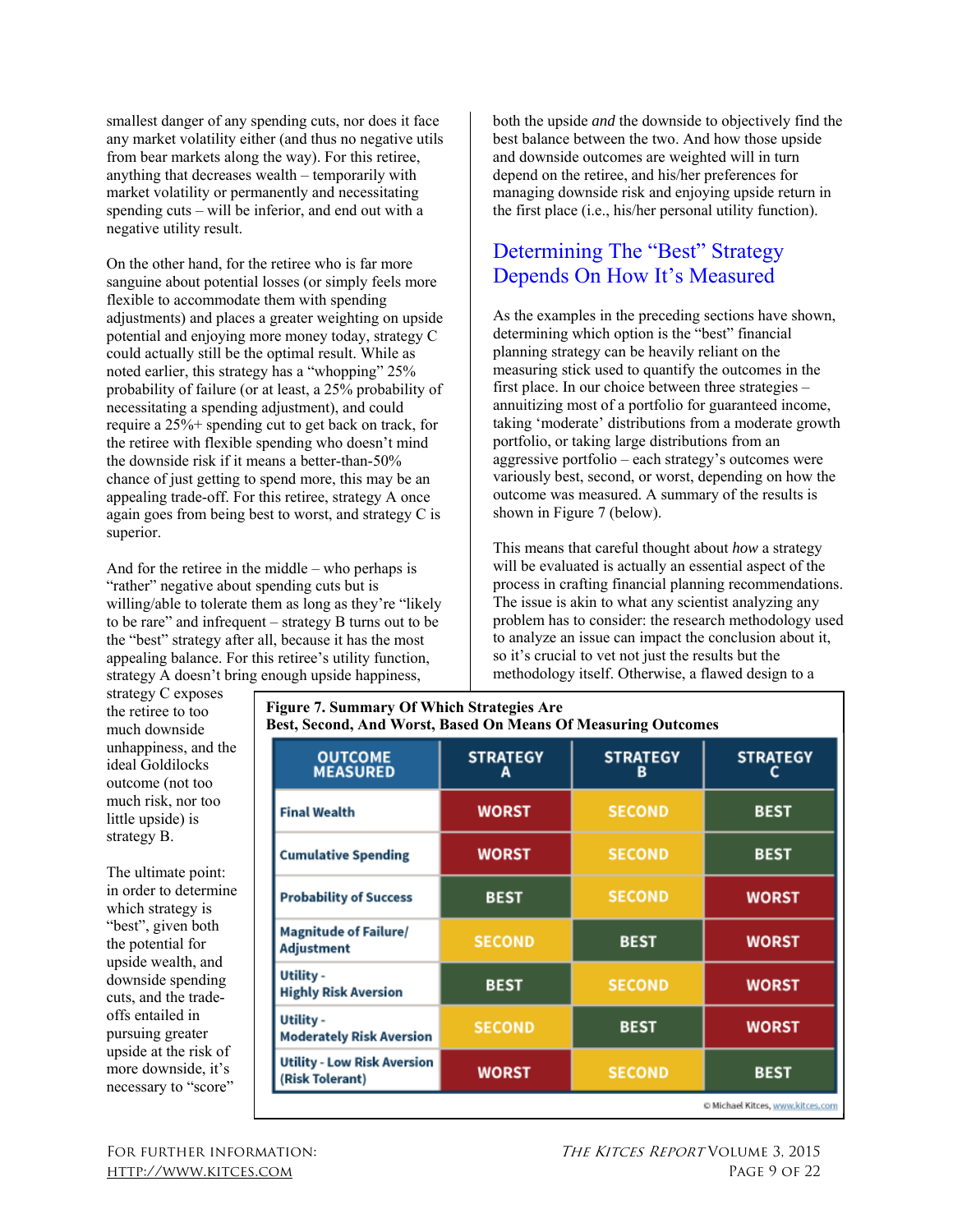smallest danger of any spending cuts, nor does it face any market volatility either (and thus no negative utils from bear markets along the way). For this retiree, anything that decreases wealth – temporarily with market volatility or permanently and necessitating spending cuts – will be inferior, and end out with a negative utility result.

On the other hand, for the retiree who is far more sanguine about potential losses (or simply feels more flexible to accommodate them with spending adjustments) and places a greater weighting on upside potential and enjoying more money today, strategy C could actually still be the optimal result. While as noted earlier, this strategy has a "whopping" 25% probability of failure (or at least, a 25% probability of necessitating a spending adjustment), and could require a 25%+ spending cut to get back on track, for the retiree with flexible spending who doesn't mind the downside risk if it means a better-than-50% chance of just getting to spend more, this may be an appealing trade-off. For this retiree, strategy A once again goes from being best to worst, and strategy C is superior.

And for the retiree in the middle – who perhaps is "rather" negative about spending cuts but is willing/able to tolerate them as long as they're "likely to be rare" and infrequent – strategy B turns out to be the "best" strategy after all, because it has the most appealing balance. For this retiree's utility function, strategy A doesn't bring enough upside happiness,

both the upside *and* the downside to objectively find the best balance between the two. And how those upside and downside outcomes are weighted will in turn depend on the retiree, and his/her preferences for managing downside risk and enjoying upside return in the first place (i.e., his/her personal utility function).

# Determining The "Best" Strategy Depends On How It's Measured

As the examples in the preceding sections have shown, determining which option is the "best" financial planning strategy can be heavily reliant on the measuring stick used to quantify the outcomes in the first place. In our choice between three strategies – annuitizing most of a portfolio for guaranteed income, taking 'moderate' distributions from a moderate growth portfolio, or taking large distributions from an aggressive portfolio – each strategy's outcomes were variously best, second, or worst, depending on how the outcome was measured. A summary of the results is shown in Figure 7 (below).

This means that careful thought about *how* a strategy will be evaluated is actually an essential aspect of the process in crafting financial planning recommendations. The issue is akin to what any scientist analyzing any problem has to consider: the research methodology used to analyze an issue can impact the conclusion about it, so it's crucial to vet not just the results but the methodology itself. Otherwise, a flawed design to a

strategy C exposes the retiree to too much downside unhappiness, and the ideal Goldilocks outcome (not too much risk, nor too little upside) is strategy B.

The ultimate point: in order to determine which strategy is "best", given both the potential for upside wealth, and downside spending cuts, and the tradeoffs entailed in pursuing greater upside at the risk of more downside, it's necessary to "score"

| <b>Figure 7. Summary Of Which Strategies Are</b><br>Best, Second, And Worst, Based On Means Of Measuring Outcomes |                      |                 |  |  |  |
|-------------------------------------------------------------------------------------------------------------------|----------------------|-----------------|--|--|--|
| <b>STRATEGY</b>                                                                                                   | <b>STRATEGY</b><br>в | <b>STRATEGY</b> |  |  |  |
| <b>WORST</b>                                                                                                      | <b>SECOND</b>        | <b>BEST</b>     |  |  |  |
| <b>WORST</b>                                                                                                      | <b>SECOND</b>        | <b>BEST</b>     |  |  |  |
| <b>BEST</b>                                                                                                       | <b>SECOND</b>        | <b>WORST</b>    |  |  |  |
| <b>SECOND</b>                                                                                                     | <b>BEST</b>          | <b>WORST</b>    |  |  |  |
| <b>BEST</b>                                                                                                       | <b>SECOND</b>        | <b>WORST</b>    |  |  |  |
| <b>SECOND</b>                                                                                                     | <b>BEST</b>          | <b>WORST</b>    |  |  |  |
| <b>WORST</b>                                                                                                      | <b>SECOND</b>        | <b>BEST</b>     |  |  |  |
|                                                                                                                   |                      |                 |  |  |  |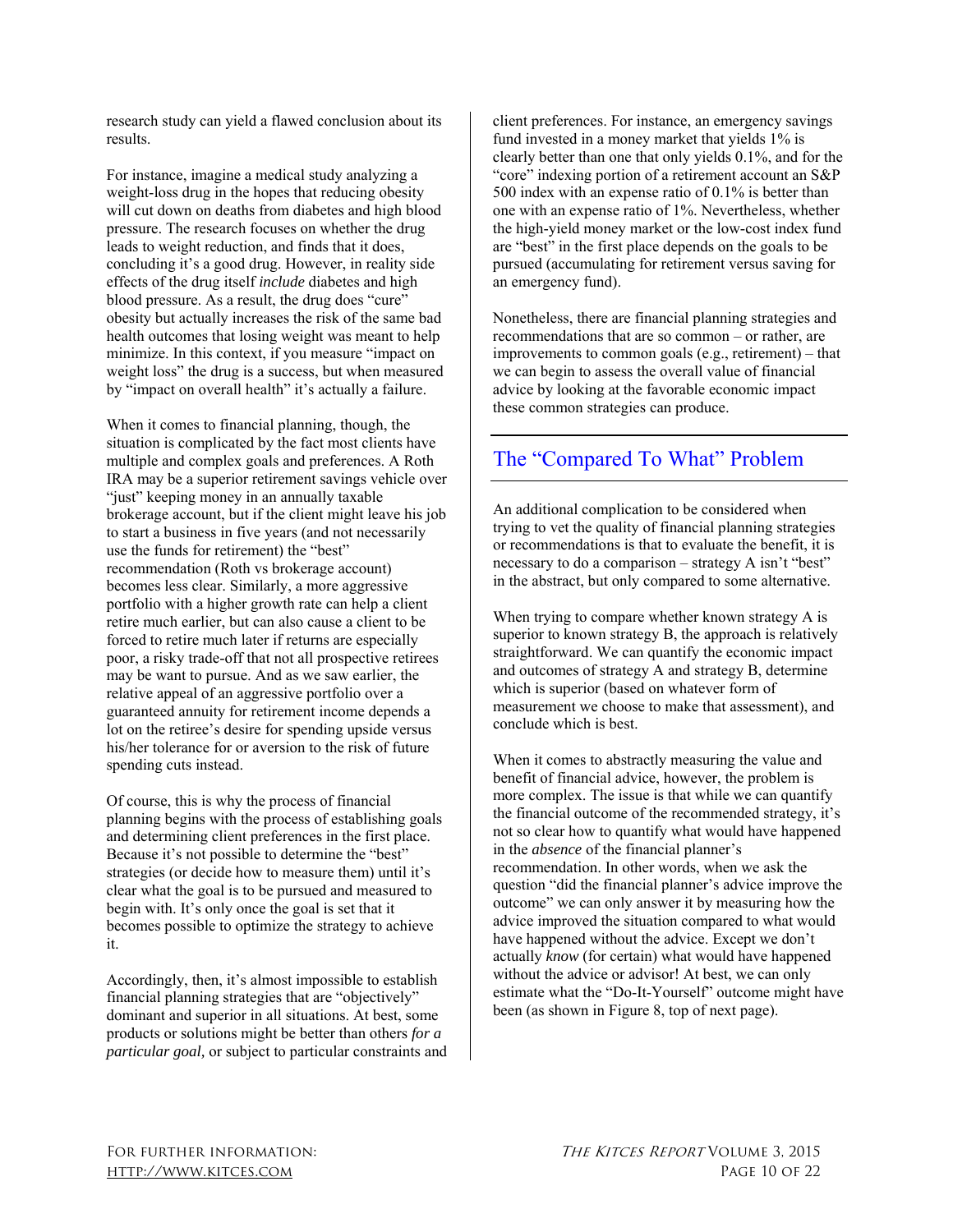research study can yield a flawed conclusion about its results.

For instance, imagine a medical study analyzing a weight-loss drug in the hopes that reducing obesity will cut down on deaths from diabetes and high blood pressure. The research focuses on whether the drug leads to weight reduction, and finds that it does, concluding it's a good drug. However, in reality side effects of the drug itself *include* diabetes and high blood pressure. As a result, the drug does "cure" obesity but actually increases the risk of the same bad health outcomes that losing weight was meant to help minimize. In this context, if you measure "impact on weight loss" the drug is a success, but when measured by "impact on overall health" it's actually a failure.

When it comes to financial planning, though, the situation is complicated by the fact most clients have multiple and complex goals and preferences. A Roth IRA may be a superior retirement savings vehicle over "just" keeping money in an annually taxable brokerage account, but if the client might leave his job to start a business in five years (and not necessarily use the funds for retirement) the "best" recommendation (Roth vs brokerage account) becomes less clear. Similarly, a more aggressive portfolio with a higher growth rate can help a client retire much earlier, but can also cause a client to be forced to retire much later if returns are especially poor, a risky trade-off that not all prospective retirees may be want to pursue. And as we saw earlier, the relative appeal of an aggressive portfolio over a guaranteed annuity for retirement income depends a lot on the retiree's desire for spending upside versus his/her tolerance for or aversion to the risk of future spending cuts instead.

Of course, this is why the process of financial planning begins with the process of establishing goals and determining client preferences in the first place. Because it's not possible to determine the "best" strategies (or decide how to measure them) until it's clear what the goal is to be pursued and measured to begin with. It's only once the goal is set that it becomes possible to optimize the strategy to achieve it.

Accordingly, then, it's almost impossible to establish financial planning strategies that are "objectively" dominant and superior in all situations. At best, some products or solutions might be better than others *for a particular goal,* or subject to particular constraints and client preferences. For instance, an emergency savings fund invested in a money market that yields 1% is clearly better than one that only yields 0.1%, and for the "core" indexing portion of a retirement account an S&P 500 index with an expense ratio of 0.1% is better than one with an expense ratio of 1%. Nevertheless, whether the high-yield money market or the low-cost index fund are "best" in the first place depends on the goals to be pursued (accumulating for retirement versus saving for an emergency fund).

Nonetheless, there are financial planning strategies and recommendations that are so common – or rather, are improvements to common goals (e.g., retirement) – that we can begin to assess the overall value of financial advice by looking at the favorable economic impact these common strategies can produce.

# The "Compared To What" Problem

An additional complication to be considered when trying to vet the quality of financial planning strategies or recommendations is that to evaluate the benefit, it is necessary to do a comparison – strategy A isn't "best" in the abstract, but only compared to some alternative.

When trying to compare whether known strategy A is superior to known strategy B, the approach is relatively straightforward. We can quantify the economic impact and outcomes of strategy A and strategy B, determine which is superior (based on whatever form of measurement we choose to make that assessment), and conclude which is best.

When it comes to abstractly measuring the value and benefit of financial advice, however, the problem is more complex. The issue is that while we can quantify the financial outcome of the recommended strategy, it's not so clear how to quantify what would have happened in the *absence* of the financial planner's recommendation. In other words, when we ask the question "did the financial planner's advice improve the outcome" we can only answer it by measuring how the advice improved the situation compared to what would have happened without the advice. Except we don't actually *know* (for certain) what would have happened without the advice or advisor! At best, we can only estimate what the "Do-It-Yourself" outcome might have been (as shown in Figure 8, top of next page).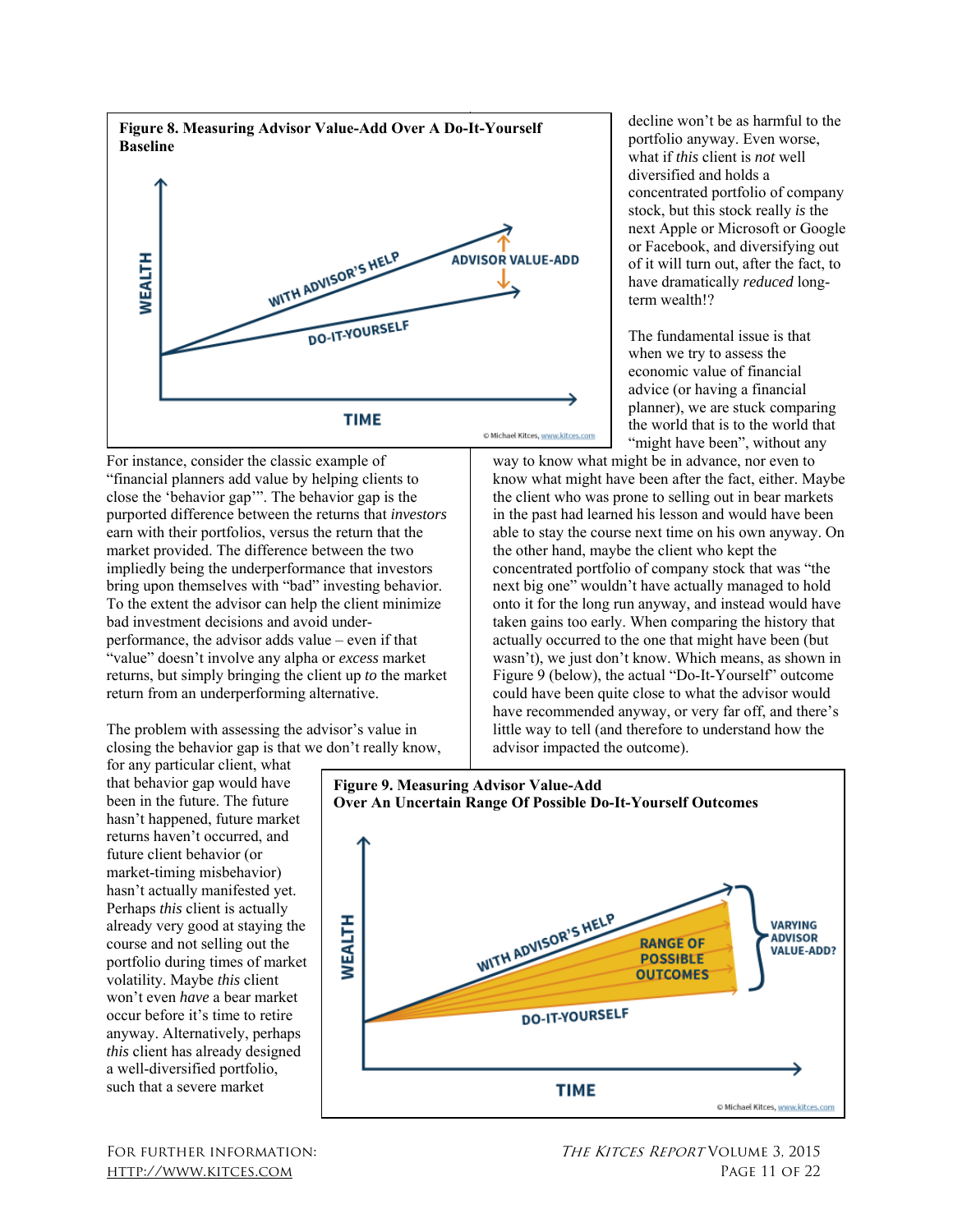

For instance, consider the classic example of "financial planners add value by helping clients to close the 'behavior gap'". The behavior gap is the purported difference between the returns that *investors*  earn with their portfolios, versus the return that the market provided. The difference between the two impliedly being the underperformance that investors bring upon themselves with "bad" investing behavior. To the extent the advisor can help the client minimize bad investment decisions and avoid underperformance, the advisor adds value – even if that "value" doesn't involve any alpha or *excess* market returns, but simply bringing the client up *to* the market return from an underperforming alternative.

The problem with assessing the advisor's value in closing the behavior gap is that we don't really know,

for any particular client, what that behavior gap would have been in the future. The future hasn't happened, future market returns haven't occurred, and future client behavior (or market-timing misbehavior) hasn't actually manifested yet. Perhaps *this* client is actually already very good at staying the course and not selling out the portfolio during times of market volatility. Maybe *this* client won't even *have* a bear market occur before it's time to retire anyway. Alternatively, perhaps *this* client has already designed a well-diversified portfolio, such that a severe market

portfolio anyway. Even worse, what if *this* client is *not* well diversified and holds a concentrated portfolio of company stock, but this stock really *is* the next Apple or Microsoft or Google or Facebook, and diversifying out of it will turn out, after the fact, to have dramatically *reduced* longterm wealth!?

decline won't be as harmful to the

The fundamental issue is that when we try to assess the economic value of financial advice (or having a financial planner), we are stuck comparing the world that is to the world that "might have been", without any

way to know what might be in advance, nor even to know what might have been after the fact, either. Maybe the client who was prone to selling out in bear markets in the past had learned his lesson and would have been able to stay the course next time on his own anyway. On the other hand, maybe the client who kept the concentrated portfolio of company stock that was "the next big one" wouldn't have actually managed to hold onto it for the long run anyway, and instead would have taken gains too early. When comparing the history that actually occurred to the one that might have been (but wasn't), we just don't know. Which means, as shown in Figure 9 (below), the actual "Do-It-Yourself" outcome could have been quite close to what the advisor would have recommended anyway, or very far off, and there's little way to tell (and therefore to understand how the advisor impacted the outcome).



**Figure 9. Measuring Advisor Value-Add**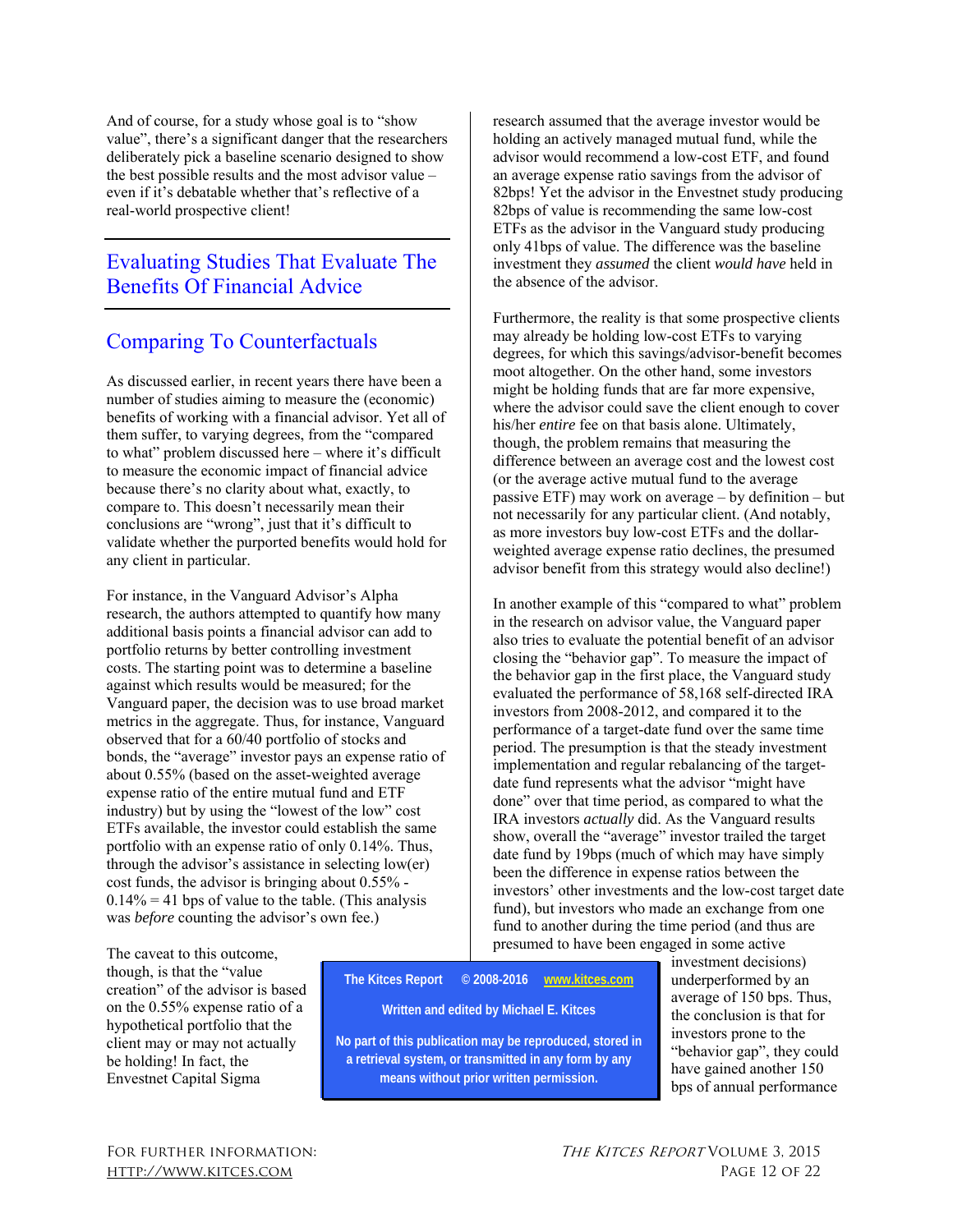And of course, for a study whose goal is to "show value", there's a significant danger that the researchers deliberately pick a baseline scenario designed to show the best possible results and the most advisor value – even if it's debatable whether that's reflective of a real-world prospective client!

# Evaluating Studies That Evaluate The Benefits Of Financial Advice

## Comparing To Counterfactuals

As discussed earlier, in recent years there have been a number of studies aiming to measure the (economic) benefits of working with a financial advisor. Yet all of them suffer, to varying degrees, from the "compared to what" problem discussed here – where it's difficult to measure the economic impact of financial advice because there's no clarity about what, exactly, to compare to. This doesn't necessarily mean their conclusions are "wrong", just that it's difficult to validate whether the purported benefits would hold for any client in particular.

For instance, in the Vanguard Advisor's Alpha research, the authors attempted to quantify how many additional basis points a financial advisor can add to portfolio returns by better controlling investment costs. The starting point was to determine a baseline against which results would be measured; for the Vanguard paper, the decision was to use broad market metrics in the aggregate. Thus, for instance, Vanguard observed that for a 60/40 portfolio of stocks and bonds, the "average" investor pays an expense ratio of about 0.55% (based on the asset-weighted average expense ratio of the entire mutual fund and ETF industry) but by using the "lowest of the low" cost ETFs available, the investor could establish the same portfolio with an expense ratio of only 0.14%. Thus, through the advisor's assistance in selecting low(er) cost funds, the advisor is bringing about 0.55% -  $0.14\% = 41$  bps of value to the table. (This analysis was *before* counting the advisor's own fee.)

research assumed that the average investor would be holding an actively managed mutual fund, while the advisor would recommend a low-cost ETF, and found an average expense ratio savings from the advisor of 82bps! Yet the advisor in the Envestnet study producing 82bps of value is recommending the same low-cost ETFs as the advisor in the Vanguard study producing only 41bps of value. The difference was the baseline investment they *assumed* the client *would have* held in the absence of the advisor.

Furthermore, the reality is that some prospective clients may already be holding low-cost ETFs to varying degrees, for which this savings/advisor-benefit becomes moot altogether. On the other hand, some investors might be holding funds that are far more expensive, where the advisor could save the client enough to cover his/her *entire* fee on that basis alone. Ultimately, though, the problem remains that measuring the difference between an average cost and the lowest cost (or the average active mutual fund to the average passive ETF) may work on average – by definition – but not necessarily for any particular client. (And notably, as more investors buy low-cost ETFs and the dollarweighted average expense ratio declines, the presumed advisor benefit from this strategy would also decline!)

In another example of this "compared to what" problem in the research on advisor value, the Vanguard paper also tries to evaluate the potential benefit of an advisor closing the "behavior gap". To measure the impact of the behavior gap in the first place, the Vanguard study evaluated the performance of 58,168 self-directed IRA investors from 2008-2012, and compared it to the performance of a target-date fund over the same time period. The presumption is that the steady investment implementation and regular rebalancing of the targetdate fund represents what the advisor "might have done" over that time period, as compared to what the IRA investors *actually* did. As the Vanguard results show, overall the "average" investor trailed the target date fund by 19bps (much of which may have simply been the difference in expense ratios between the investors' other investments and the low-cost target date fund), but investors who made an exchange from one fund to another during the time period (and thus are presumed to have been engaged in some active

The caveat to this outcome, though, is that the "value creation" of the advisor is based on the 0.55% expense ratio of a hypothetical portfolio that the client may or may not actually be holding! In fact, the Envestnet Capital Sigma

**The Kitces Report © 2008-2016 www.kitces.com Written and edited by Michael E. Kitces No part of this publication may be reproduced, stored in a retrieval system, or transmitted in any form by any means without prior written permission.** 

investment decisions) underperformed by an average of 150 bps. Thus, the conclusion is that for investors prone to the "behavior gap", they could have gained another 150 bps of annual performance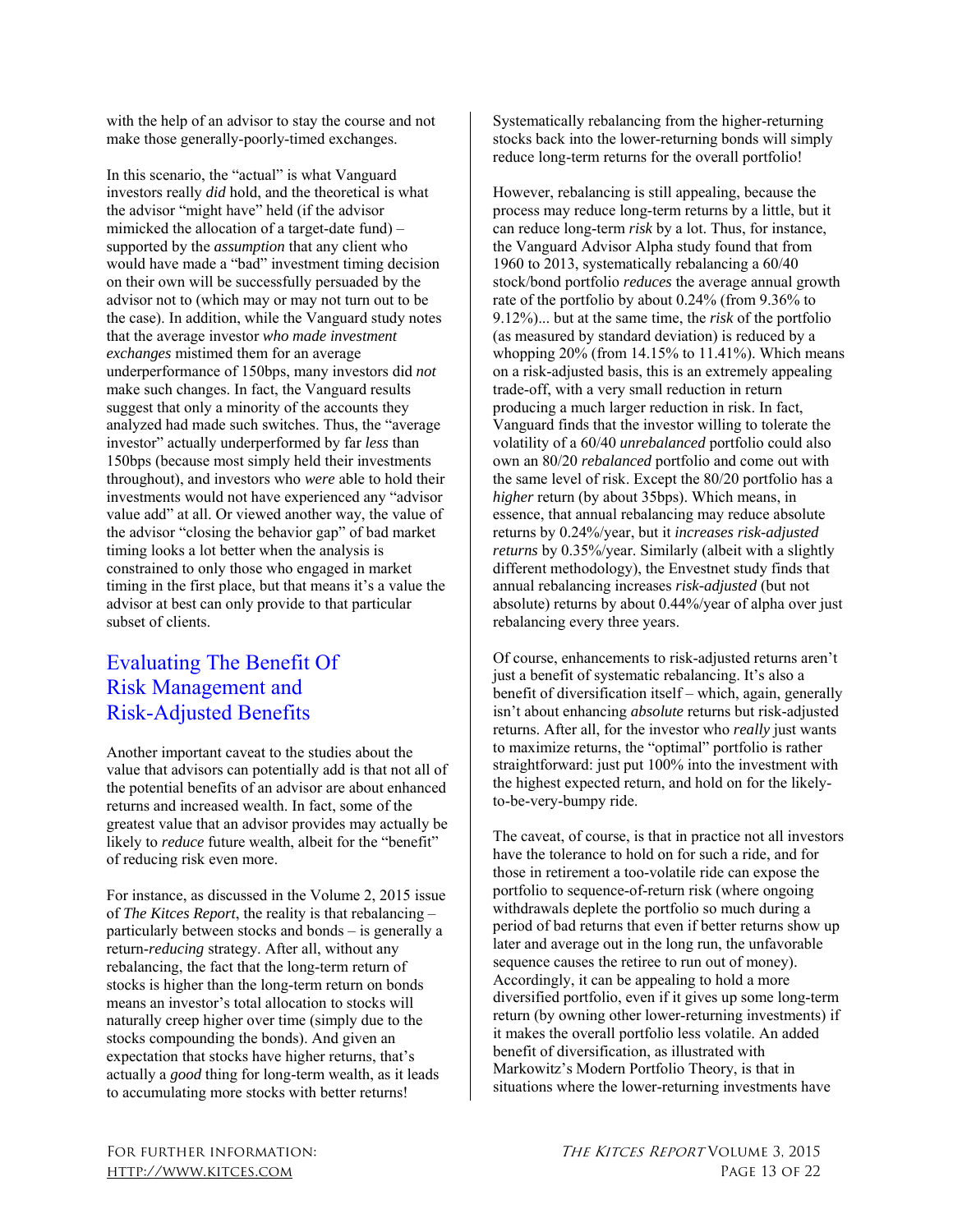with the help of an advisor to stay the course and not make those generally-poorly-timed exchanges.

In this scenario, the "actual" is what Vanguard investors really *did* hold, and the theoretical is what the advisor "might have" held (if the advisor mimicked the allocation of a target-date fund) – supported by the *assumption* that any client who would have made a "bad" investment timing decision on their own will be successfully persuaded by the advisor not to (which may or may not turn out to be the case). In addition, while the Vanguard study notes that the average investor *who made investment exchanges* mistimed them for an average underperformance of 150bps, many investors did *not*  make such changes. In fact, the Vanguard results suggest that only a minority of the accounts they analyzed had made such switches. Thus, the "average investor" actually underperformed by far *less* than 150bps (because most simply held their investments throughout), and investors who *were* able to hold their investments would not have experienced any "advisor value add" at all. Or viewed another way, the value of the advisor "closing the behavior gap" of bad market timing looks a lot better when the analysis is constrained to only those who engaged in market timing in the first place, but that means it's a value the advisor at best can only provide to that particular subset of clients.

# Evaluating The Benefit Of Risk Management and Risk-Adjusted Benefits

Another important caveat to the studies about the value that advisors can potentially add is that not all of the potential benefits of an advisor are about enhanced returns and increased wealth. In fact, some of the greatest value that an advisor provides may actually be likely to *reduce* future wealth, albeit for the "benefit" of reducing risk even more.

For instance, as discussed in the Volume 2, 2015 issue of *The Kitces Report*, the reality is that rebalancing – particularly between stocks and bonds – is generally a return-*reducing* strategy. After all, without any rebalancing, the fact that the long-term return of stocks is higher than the long-term return on bonds means an investor's total allocation to stocks will naturally creep higher over time (simply due to the stocks compounding the bonds). And given an expectation that stocks have higher returns, that's actually a *good* thing for long-term wealth, as it leads to accumulating more stocks with better returns!

Systematically rebalancing from the higher-returning stocks back into the lower-returning bonds will simply reduce long-term returns for the overall portfolio!

However, rebalancing is still appealing, because the process may reduce long-term returns by a little, but it can reduce long-term *risk* by a lot. Thus, for instance, the Vanguard Advisor Alpha study found that from 1960 to 2013, systematically rebalancing a 60/40 stock/bond portfolio *reduces* the average annual growth rate of the portfolio by about 0.24% (from 9.36% to 9.12%)... but at the same time, the *risk* of the portfolio (as measured by standard deviation) is reduced by a whopping  $20\%$  (from 14.15% to 11.41%). Which means on a risk-adjusted basis, this is an extremely appealing trade-off, with a very small reduction in return producing a much larger reduction in risk. In fact, Vanguard finds that the investor willing to tolerate the volatility of a 60/40 *unrebalanced* portfolio could also own an 80/20 *rebalanced* portfolio and come out with the same level of risk. Except the 80/20 portfolio has a *higher* return (by about 35bps). Which means, in essence, that annual rebalancing may reduce absolute returns by 0.24%/year, but it *increases risk-adjusted returns* by 0.35%/year. Similarly (albeit with a slightly different methodology), the Envestnet study finds that annual rebalancing increases *risk-adjusted* (but not absolute) returns by about 0.44%/year of alpha over just rebalancing every three years.

Of course, enhancements to risk-adjusted returns aren't just a benefit of systematic rebalancing. It's also a benefit of diversification itself – which, again, generally isn't about enhancing *absolute* returns but risk-adjusted returns. After all, for the investor who *really* just wants to maximize returns, the "optimal" portfolio is rather straightforward: just put 100% into the investment with the highest expected return, and hold on for the likelyto-be-very-bumpy ride.

The caveat, of course, is that in practice not all investors have the tolerance to hold on for such a ride, and for those in retirement a too-volatile ride can expose the portfolio to sequence-of-return risk (where ongoing withdrawals deplete the portfolio so much during a period of bad returns that even if better returns show up later and average out in the long run, the unfavorable sequence causes the retiree to run out of money). Accordingly, it can be appealing to hold a more diversified portfolio, even if it gives up some long-term return (by owning other lower-returning investments) if it makes the overall portfolio less volatile. An added benefit of diversification, as illustrated with Markowitz's Modern Portfolio Theory, is that in situations where the lower-returning investments have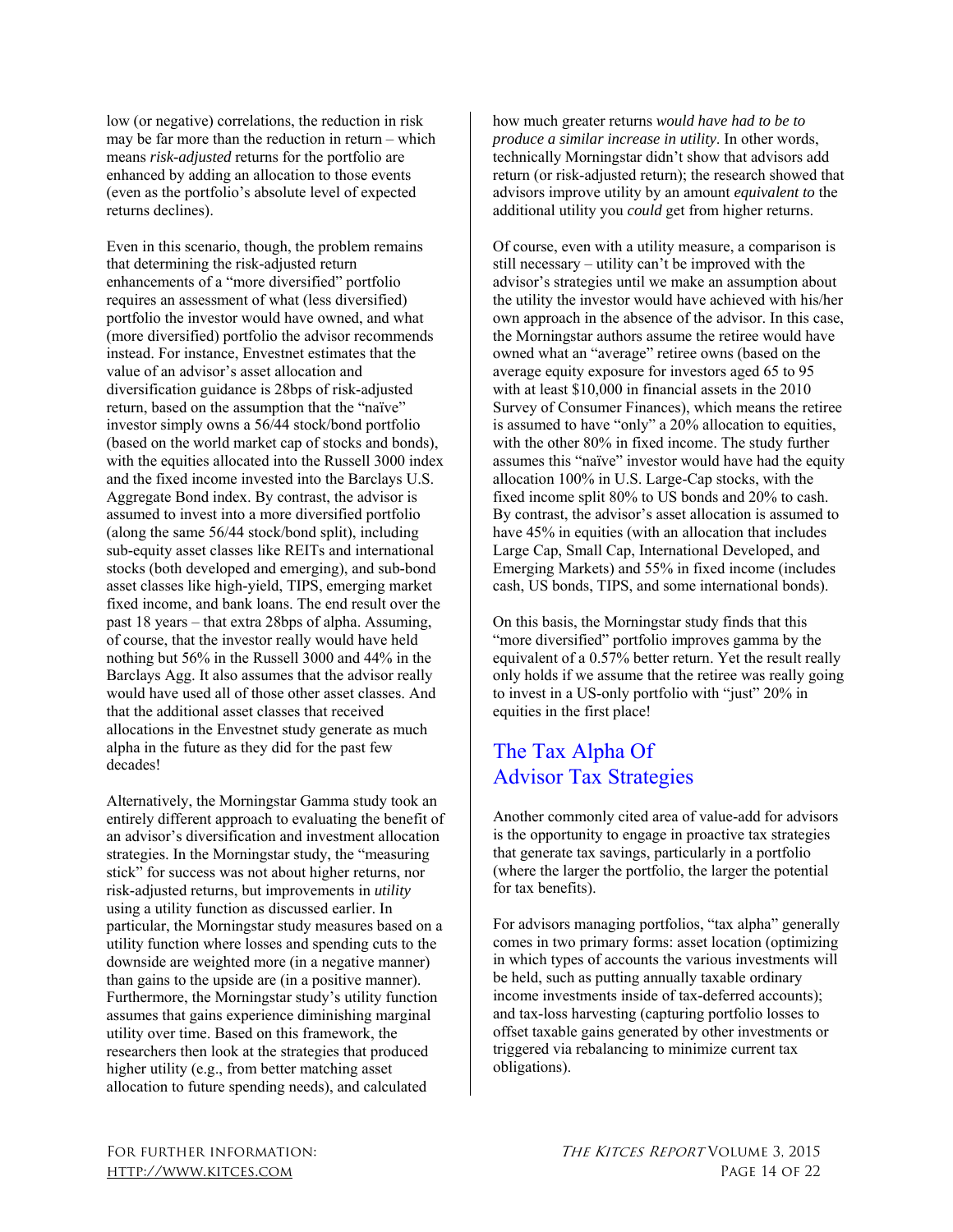low (or negative) correlations, the reduction in risk may be far more than the reduction in return – which means *risk-adjusted* returns for the portfolio are enhanced by adding an allocation to those events (even as the portfolio's absolute level of expected returns declines).

Even in this scenario, though, the problem remains that determining the risk-adjusted return enhancements of a "more diversified" portfolio requires an assessment of what (less diversified) portfolio the investor would have owned, and what (more diversified) portfolio the advisor recommends instead. For instance, Envestnet estimates that the value of an advisor's asset allocation and diversification guidance is 28bps of risk-adjusted return, based on the assumption that the "naïve" investor simply owns a 56/44 stock/bond portfolio (based on the world market cap of stocks and bonds), with the equities allocated into the Russell 3000 index and the fixed income invested into the Barclays U.S. Aggregate Bond index. By contrast, the advisor is assumed to invest into a more diversified portfolio (along the same 56/44 stock/bond split), including sub-equity asset classes like REITs and international stocks (both developed and emerging), and sub-bond asset classes like high-yield, TIPS, emerging market fixed income, and bank loans. The end result over the past 18 years – that extra 28bps of alpha. Assuming, of course, that the investor really would have held nothing but 56% in the Russell 3000 and 44% in the Barclays Agg. It also assumes that the advisor really would have used all of those other asset classes. And that the additional asset classes that received allocations in the Envestnet study generate as much alpha in the future as they did for the past few decades!

Alternatively, the Morningstar Gamma study took an entirely different approach to evaluating the benefit of an advisor's diversification and investment allocation strategies. In the Morningstar study, the "measuring stick" for success was not about higher returns, nor risk-adjusted returns, but improvements in *utility*  using a utility function as discussed earlier. In particular, the Morningstar study measures based on a utility function where losses and spending cuts to the downside are weighted more (in a negative manner) than gains to the upside are (in a positive manner). Furthermore, the Morningstar study's utility function assumes that gains experience diminishing marginal utility over time. Based on this framework, the researchers then look at the strategies that produced higher utility (e.g., from better matching asset allocation to future spending needs), and calculated

how much greater returns *would have had to be to produce a similar increase in utility*. In other words, technically Morningstar didn't show that advisors add return (or risk-adjusted return); the research showed that advisors improve utility by an amount *equivalent to* the additional utility you *could* get from higher returns.

Of course, even with a utility measure, a comparison is still necessary – utility can't be improved with the advisor's strategies until we make an assumption about the utility the investor would have achieved with his/her own approach in the absence of the advisor. In this case, the Morningstar authors assume the retiree would have owned what an "average" retiree owns (based on the average equity exposure for investors aged 65 to 95 with at least \$10,000 in financial assets in the 2010 Survey of Consumer Finances), which means the retiree is assumed to have "only" a 20% allocation to equities, with the other 80% in fixed income. The study further assumes this "naïve" investor would have had the equity allocation 100% in U.S. Large-Cap stocks, with the fixed income split 80% to US bonds and 20% to cash. By contrast, the advisor's asset allocation is assumed to have 45% in equities (with an allocation that includes Large Cap, Small Cap, International Developed, and Emerging Markets) and 55% in fixed income (includes cash, US bonds, TIPS, and some international bonds).

On this basis, the Morningstar study finds that this "more diversified" portfolio improves gamma by the equivalent of a 0.57% better return. Yet the result really only holds if we assume that the retiree was really going to invest in a US-only portfolio with "just" 20% in equities in the first place!

# The Tax Alpha Of Advisor Tax Strategies

Another commonly cited area of value-add for advisors is the opportunity to engage in proactive tax strategies that generate tax savings, particularly in a portfolio (where the larger the portfolio, the larger the potential for tax benefits).

For advisors managing portfolios, "tax alpha" generally comes in two primary forms: asset location (optimizing in which types of accounts the various investments will be held, such as putting annually taxable ordinary income investments inside of tax-deferred accounts); and tax-loss harvesting (capturing portfolio losses to offset taxable gains generated by other investments or triggered via rebalancing to minimize current tax obligations).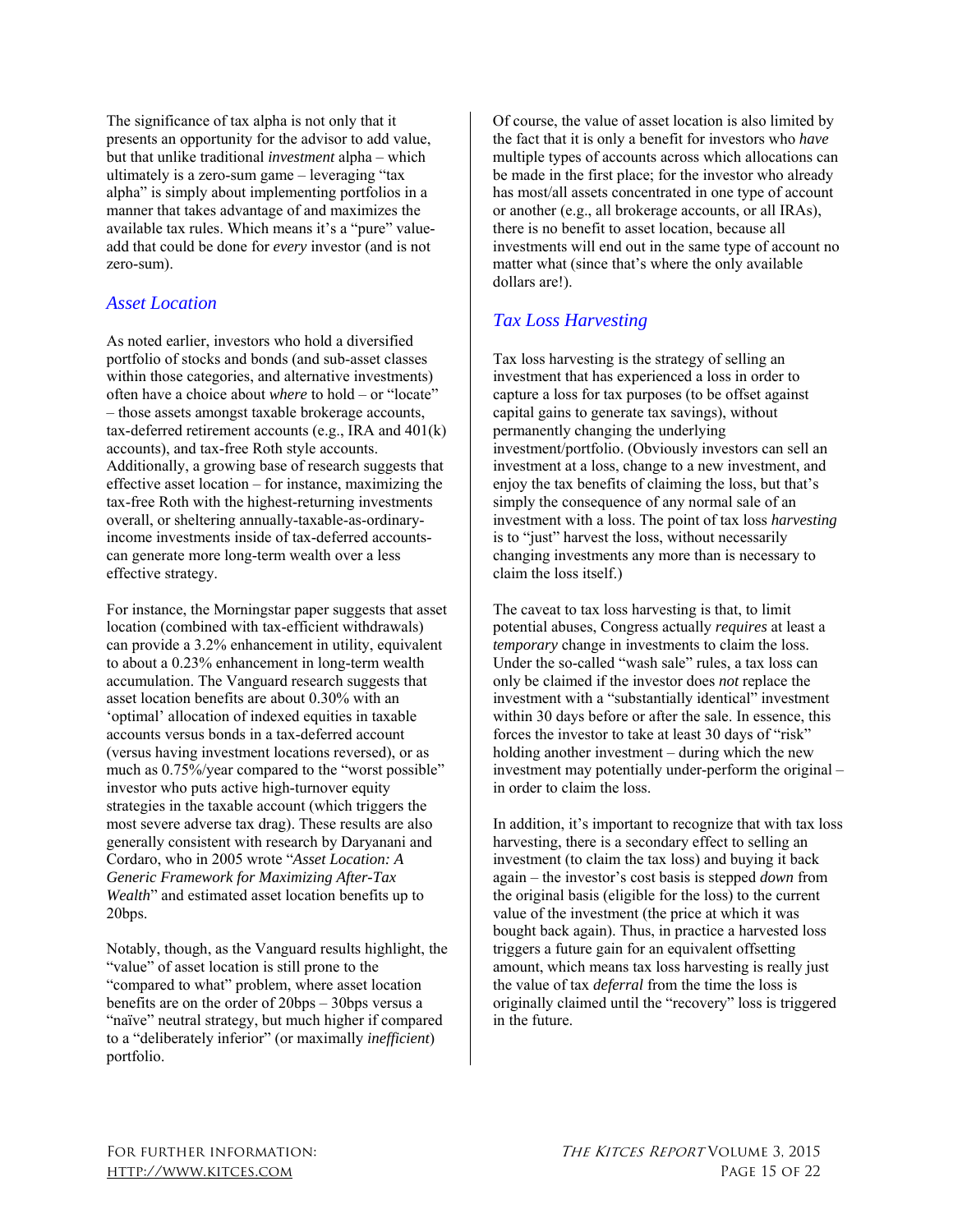The significance of tax alpha is not only that it presents an opportunity for the advisor to add value, but that unlike traditional *investment* alpha – which ultimately is a zero-sum game – leveraging "tax alpha" is simply about implementing portfolios in a manner that takes advantage of and maximizes the available tax rules. Which means it's a "pure" valueadd that could be done for *every* investor (and is not zero-sum).

#### *Asset Location*

As noted earlier, investors who hold a diversified portfolio of stocks and bonds (and sub-asset classes within those categories, and alternative investments) often have a choice about *where* to hold – or "locate" – those assets amongst taxable brokerage accounts, tax-deferred retirement accounts (e.g., IRA and 401(k) accounts), and tax-free Roth style accounts. Additionally, a growing base of research suggests that effective asset location – for instance, maximizing the tax-free Roth with the highest-returning investments overall, or sheltering annually-taxable-as-ordinaryincome investments inside of tax-deferred accountscan generate more long-term wealth over a less effective strategy.

For instance, the Morningstar paper suggests that asset location (combined with tax-efficient withdrawals) can provide a 3.2% enhancement in utility, equivalent to about a 0.23% enhancement in long-term wealth accumulation. The Vanguard research suggests that asset location benefits are about 0.30% with an 'optimal' allocation of indexed equities in taxable accounts versus bonds in a tax-deferred account (versus having investment locations reversed), or as much as 0.75%/year compared to the "worst possible" investor who puts active high-turnover equity strategies in the taxable account (which triggers the most severe adverse tax drag). These results are also generally consistent with research by Daryanani and Cordaro, who in 2005 wrote "*Asset Location: A Generic Framework for Maximizing After-Tax Wealth*" and estimated asset location benefits up to 20bps.

Notably, though, as the Vanguard results highlight, the "value" of asset location is still prone to the "compared to what" problem, where asset location benefits are on the order of 20bps – 30bps versus a "naïve" neutral strategy, but much higher if compared to a "deliberately inferior" (or maximally *inefficient*) portfolio.

Of course, the value of asset location is also limited by the fact that it is only a benefit for investors who *have*  multiple types of accounts across which allocations can be made in the first place; for the investor who already has most/all assets concentrated in one type of account or another (e.g., all brokerage accounts, or all IRAs), there is no benefit to asset location, because all investments will end out in the same type of account no matter what (since that's where the only available dollars are!).

## *Tax Loss Harvesting*

Tax loss harvesting is the strategy of selling an investment that has experienced a loss in order to capture a loss for tax purposes (to be offset against capital gains to generate tax savings), without permanently changing the underlying investment/portfolio. (Obviously investors can sell an investment at a loss, change to a new investment, and enjoy the tax benefits of claiming the loss, but that's simply the consequence of any normal sale of an investment with a loss. The point of tax loss *harvesting*  is to "just" harvest the loss, without necessarily changing investments any more than is necessary to claim the loss itself.)

The caveat to tax loss harvesting is that, to limit potential abuses, Congress actually *requires* at least a *temporary* change in investments to claim the loss. Under the so-called "wash sale" rules, a tax loss can only be claimed if the investor does *not* replace the investment with a "substantially identical" investment within 30 days before or after the sale. In essence, this forces the investor to take at least 30 days of "risk" holding another investment – during which the new investment may potentially under-perform the original – in order to claim the loss.

In addition, it's important to recognize that with tax loss harvesting, there is a secondary effect to selling an investment (to claim the tax loss) and buying it back again – the investor's cost basis is stepped *down* from the original basis (eligible for the loss) to the current value of the investment (the price at which it was bought back again). Thus, in practice a harvested loss triggers a future gain for an equivalent offsetting amount, which means tax loss harvesting is really just the value of tax *deferral* from the time the loss is originally claimed until the "recovery" loss is triggered in the future.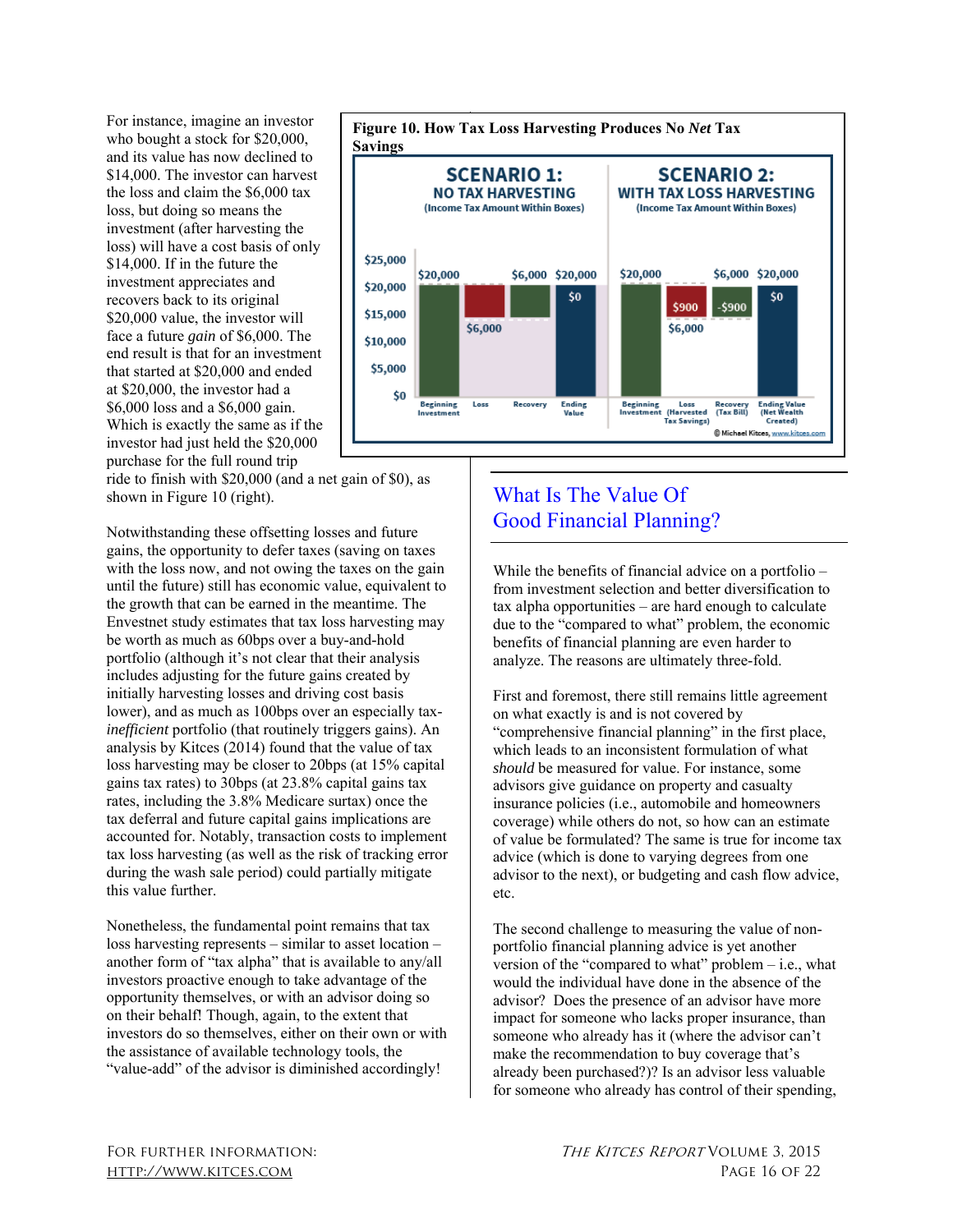For instance, imagine an investor who bought a stock for \$20,000, and its value has now declined to \$14,000. The investor can harvest the loss and claim the \$6,000 tax loss, but doing so means the investment (after harvesting the loss) will have a cost basis of only \$14,000. If in the future the investment appreciates and recovers back to its original \$20,000 value, the investor will face a future *gain* of \$6,000. The end result is that for an investment that started at \$20,000 and ended at \$20,000, the investor had a \$6,000 loss and a \$6,000 gain. Which is exactly the same as if the investor had just held the \$20,000 purchase for the full round trip



ride to finish with \$20,000 (and a net gain of \$0), as shown in Figure 10 (right).

Notwithstanding these offsetting losses and future gains, the opportunity to defer taxes (saving on taxes with the loss now, and not owing the taxes on the gain until the future) still has economic value, equivalent to the growth that can be earned in the meantime. The Envestnet study estimates that tax loss harvesting may be worth as much as 60bps over a buy-and-hold portfolio (although it's not clear that their analysis includes adjusting for the future gains created by initially harvesting losses and driving cost basis lower), and as much as 100bps over an especially tax*inefficient* portfolio (that routinely triggers gains). An analysis by Kitces (2014) found that the value of tax loss harvesting may be closer to 20bps (at 15% capital gains tax rates) to 30bps (at 23.8% capital gains tax rates, including the 3.8% Medicare surtax) once the tax deferral and future capital gains implications are accounted for. Notably, transaction costs to implement tax loss harvesting (as well as the risk of tracking error during the wash sale period) could partially mitigate this value further.

Nonetheless, the fundamental point remains that tax loss harvesting represents – similar to asset location – another form of "tax alpha" that is available to any/all investors proactive enough to take advantage of the opportunity themselves, or with an advisor doing so on their behalf! Though, again, to the extent that investors do so themselves, either on their own or with the assistance of available technology tools, the "value-add" of the advisor is diminished accordingly!

# What Is The Value Of Good Financial Planning?

While the benefits of financial advice on a portfolio – from investment selection and better diversification to tax alpha opportunities – are hard enough to calculate due to the "compared to what" problem, the economic benefits of financial planning are even harder to analyze. The reasons are ultimately three-fold.

First and foremost, there still remains little agreement on what exactly is and is not covered by "comprehensive financial planning" in the first place, which leads to an inconsistent formulation of what *should* be measured for value. For instance, some advisors give guidance on property and casualty insurance policies (i.e., automobile and homeowners coverage) while others do not, so how can an estimate of value be formulated? The same is true for income tax advice (which is done to varying degrees from one advisor to the next), or budgeting and cash flow advice, etc.

The second challenge to measuring the value of nonportfolio financial planning advice is yet another version of the "compared to what" problem  $-$  i.e., what would the individual have done in the absence of the advisor? Does the presence of an advisor have more impact for someone who lacks proper insurance, than someone who already has it (where the advisor can't make the recommendation to buy coverage that's already been purchased?)? Is an advisor less valuable for someone who already has control of their spending,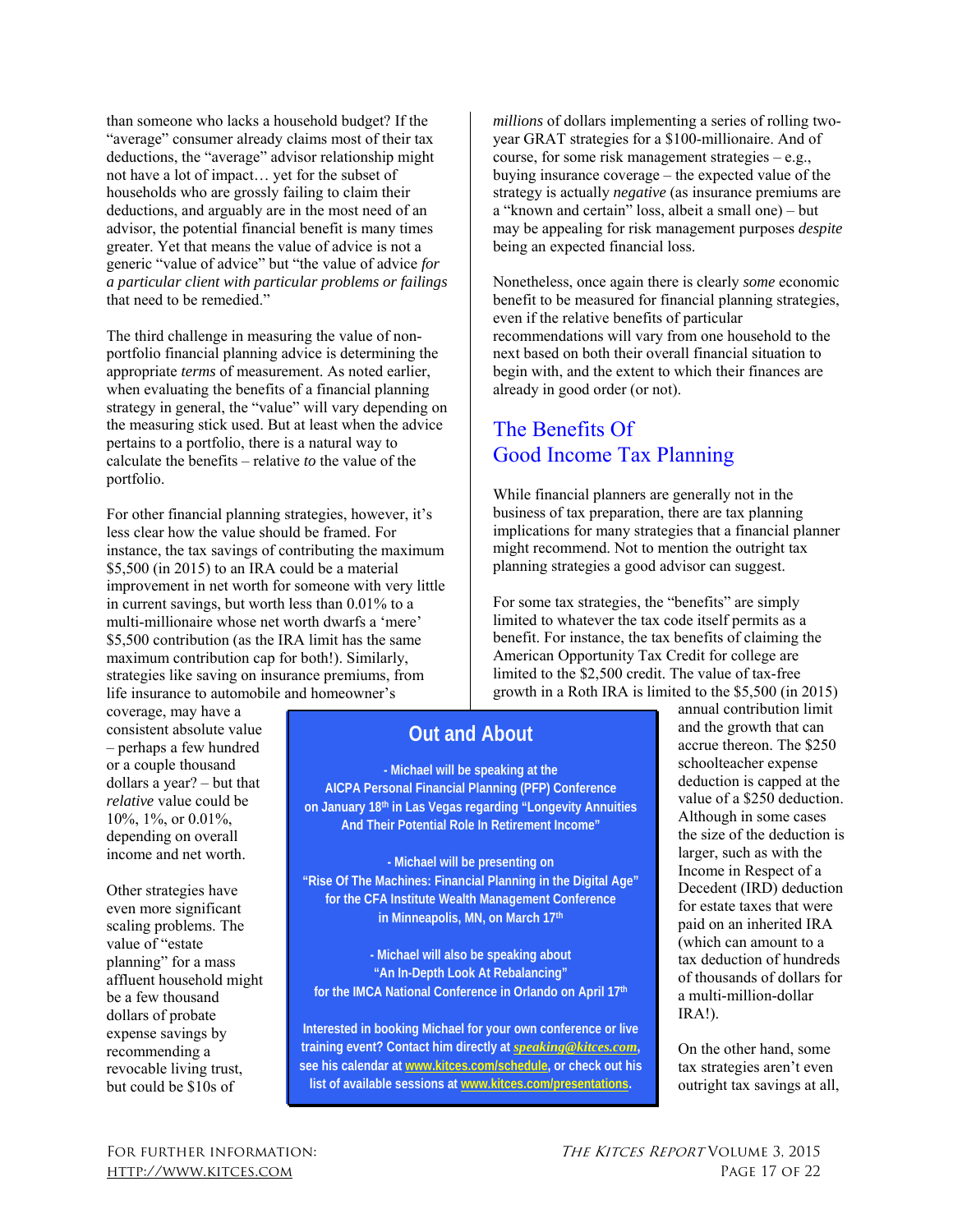than someone who lacks a household budget? If the "average" consumer already claims most of their tax deductions, the "average" advisor relationship might not have a lot of impact… yet for the subset of households who are grossly failing to claim their deductions, and arguably are in the most need of an advisor, the potential financial benefit is many times greater. Yet that means the value of advice is not a generic "value of advice" but "the value of advice *for a particular client with particular problems or failings*  that need to be remedied."

The third challenge in measuring the value of nonportfolio financial planning advice is determining the appropriate *terms* of measurement. As noted earlier, when evaluating the benefits of a financial planning strategy in general, the "value" will vary depending on the measuring stick used. But at least when the advice pertains to a portfolio, there is a natural way to calculate the benefits – relative *to* the value of the portfolio.

For other financial planning strategies, however, it's less clear how the value should be framed. For instance, the tax savings of contributing the maximum \$5,500 (in 2015) to an IRA could be a material improvement in net worth for someone with very little in current savings, but worth less than 0.01% to a multi-millionaire whose net worth dwarfs a 'mere' \$5,500 contribution (as the IRA limit has the same maximum contribution cap for both!). Similarly, strategies like saving on insurance premiums, from life insurance to automobile and homeowner's

coverage, may have a consistent absolute value – perhaps a few hundred or a couple thousand dollars a year? – but that *relative* value could be 10%, 1%, or 0.01%, depending on overall income and net worth.

Other strategies have even more significant scaling problems. The value of "estate planning" for a mass affluent household might be a few thousand dollars of probate expense savings by recommending a revocable living trust, but could be \$10s of

*millions* of dollars implementing a series of rolling twoyear GRAT strategies for a \$100-millionaire. And of course, for some risk management strategies – e.g., buying insurance coverage – the expected value of the strategy is actually *negative* (as insurance premiums are a "known and certain" loss, albeit a small one) – but may be appealing for risk management purposes *despite*  being an expected financial loss.

Nonetheless, once again there is clearly *some* economic benefit to be measured for financial planning strategies, even if the relative benefits of particular recommendations will vary from one household to the next based on both their overall financial situation to begin with, and the extent to which their finances are already in good order (or not).

# The Benefits Of Good Income Tax Planning

While financial planners are generally not in the business of tax preparation, there are tax planning implications for many strategies that a financial planner might recommend. Not to mention the outright tax planning strategies a good advisor can suggest.

For some tax strategies, the "benefits" are simply limited to whatever the tax code itself permits as a benefit. For instance, the tax benefits of claiming the American Opportunity Tax Credit for college are limited to the \$2,500 credit. The value of tax-free growth in a Roth IRA is limited to the \$5,500 (in 2015)

# **Out and About**

**- Michael will be speaking at the AICPA Personal Financial Planning (PFP) Conference on January 18th in Las Vegas regarding "Longevity Annuities And Their Potential Role In Retirement Income"** 

**- Michael will be presenting on "Rise Of The Machines: Financial Planning in the Digital Age" for the CFA Institute Wealth Management Conference in Minneapolis, MN, on March 17th** 

**- Michael will also be speaking about "An In-Depth Look At Rebalancing" for the IMCA National Conference in Orlando on April 17th** 

**Interested in booking Michael for your own conference or live training event? Contact him directly at** *speaking@kitces.com***, see his calendar at www.kitces.com/schedule, or check out his list of available sessions at www.kitces.com/presentations.** 

annual contribution limit and the growth that can accrue thereon. The \$250 schoolteacher expense deduction is capped at the value of a \$250 deduction. Although in some cases the size of the deduction is larger, such as with the Income in Respect of a Decedent (IRD) deduction for estate taxes that were paid on an inherited IRA (which can amount to a tax deduction of hundreds of thousands of dollars for a multi-million-dollar IRA!).

On the other hand, some tax strategies aren't even outright tax savings at all,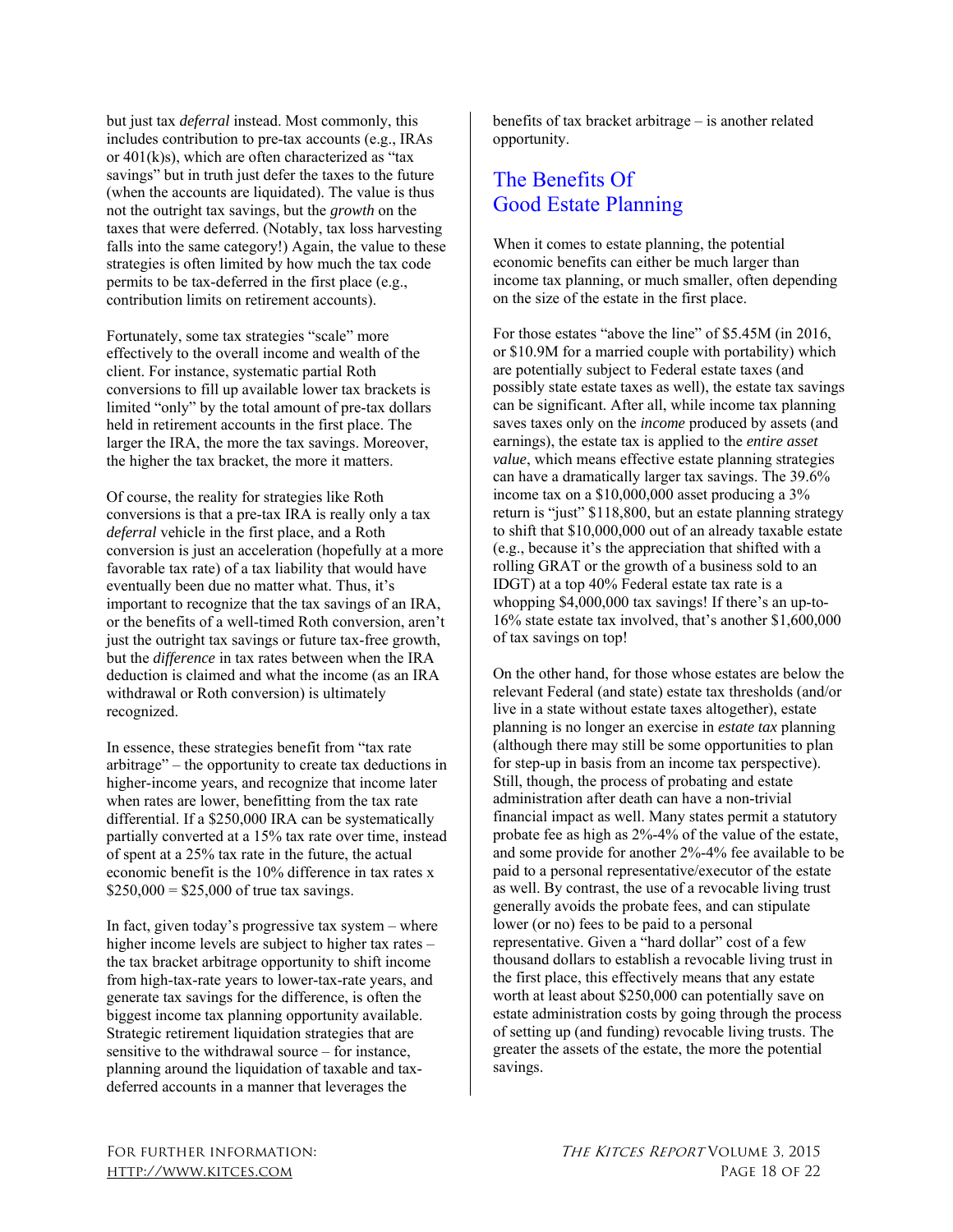but just tax *deferral* instead. Most commonly, this includes contribution to pre-tax accounts (e.g., IRAs or 401(k)s), which are often characterized as "tax savings" but in truth just defer the taxes to the future (when the accounts are liquidated). The value is thus not the outright tax savings, but the *growth* on the taxes that were deferred. (Notably, tax loss harvesting falls into the same category!) Again, the value to these strategies is often limited by how much the tax code permits to be tax-deferred in the first place (e.g., contribution limits on retirement accounts).

Fortunately, some tax strategies "scale" more effectively to the overall income and wealth of the client. For instance, systematic partial Roth conversions to fill up available lower tax brackets is limited "only" by the total amount of pre-tax dollars held in retirement accounts in the first place. The larger the IRA, the more the tax savings. Moreover, the higher the tax bracket, the more it matters.

Of course, the reality for strategies like Roth conversions is that a pre-tax IRA is really only a tax *deferral* vehicle in the first place, and a Roth conversion is just an acceleration (hopefully at a more favorable tax rate) of a tax liability that would have eventually been due no matter what. Thus, it's important to recognize that the tax savings of an IRA, or the benefits of a well-timed Roth conversion, aren't just the outright tax savings or future tax-free growth, but the *difference* in tax rates between when the IRA deduction is claimed and what the income (as an IRA withdrawal or Roth conversion) is ultimately recognized.

In essence, these strategies benefit from "tax rate arbitrage" – the opportunity to create tax deductions in higher-income years, and recognize that income later when rates are lower, benefitting from the tax rate differential. If a \$250,000 IRA can be systematically partially converted at a 15% tax rate over time, instead of spent at a 25% tax rate in the future, the actual economic benefit is the 10% difference in tax rates x  $$250,000 = $25,000$  of true tax savings.

In fact, given today's progressive tax system – where higher income levels are subject to higher tax rates – the tax bracket arbitrage opportunity to shift income from high-tax-rate years to lower-tax-rate years, and generate tax savings for the difference, is often the biggest income tax planning opportunity available. Strategic retirement liquidation strategies that are sensitive to the withdrawal source – for instance, planning around the liquidation of taxable and taxdeferred accounts in a manner that leverages the

benefits of tax bracket arbitrage – is another related opportunity.

# The Benefits Of Good Estate Planning

When it comes to estate planning, the potential economic benefits can either be much larger than income tax planning, or much smaller, often depending on the size of the estate in the first place.

For those estates "above the line" of \$5.45M (in 2016, or \$10.9M for a married couple with portability) which are potentially subject to Federal estate taxes (and possibly state estate taxes as well), the estate tax savings can be significant. After all, while income tax planning saves taxes only on the *income* produced by assets (and earnings), the estate tax is applied to the *entire asset value*, which means effective estate planning strategies can have a dramatically larger tax savings. The 39.6% income tax on a \$10,000,000 asset producing a 3% return is "just" \$118,800, but an estate planning strategy to shift that \$10,000,000 out of an already taxable estate (e.g., because it's the appreciation that shifted with a rolling GRAT or the growth of a business sold to an IDGT) at a top 40% Federal estate tax rate is a whopping \$4,000,000 tax savings! If there's an up-to-16% state estate tax involved, that's another \$1,600,000 of tax savings on top!

On the other hand, for those whose estates are below the relevant Federal (and state) estate tax thresholds (and/or live in a state without estate taxes altogether), estate planning is no longer an exercise in *estate tax* planning (although there may still be some opportunities to plan for step-up in basis from an income tax perspective). Still, though, the process of probating and estate administration after death can have a non-trivial financial impact as well. Many states permit a statutory probate fee as high as 2%-4% of the value of the estate, and some provide for another 2%-4% fee available to be paid to a personal representative/executor of the estate as well. By contrast, the use of a revocable living trust generally avoids the probate fees, and can stipulate lower (or no) fees to be paid to a personal representative. Given a "hard dollar" cost of a few thousand dollars to establish a revocable living trust in the first place, this effectively means that any estate worth at least about \$250,000 can potentially save on estate administration costs by going through the process of setting up (and funding) revocable living trusts. The greater the assets of the estate, the more the potential savings.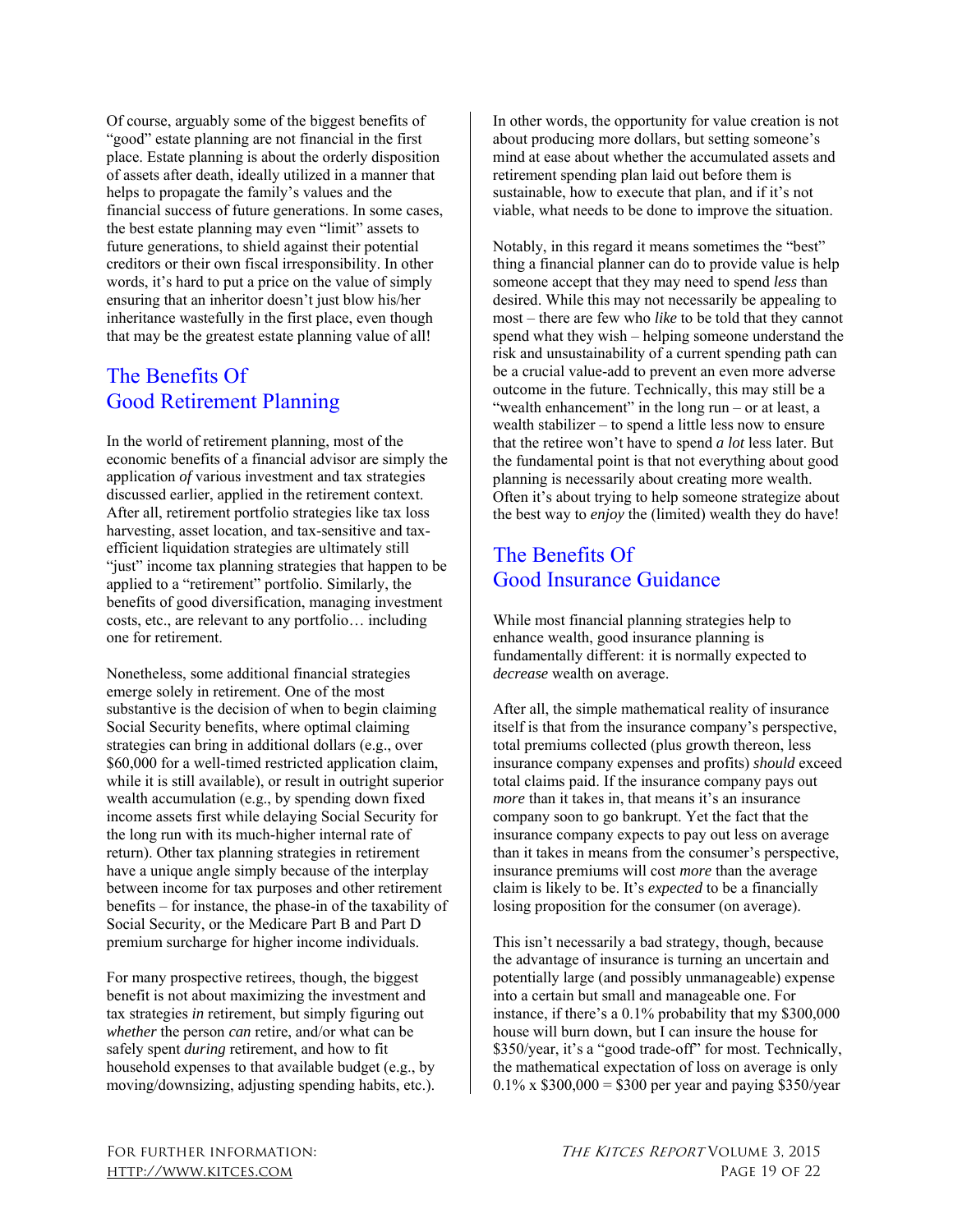Of course, arguably some of the biggest benefits of "good" estate planning are not financial in the first place. Estate planning is about the orderly disposition of assets after death, ideally utilized in a manner that helps to propagate the family's values and the financial success of future generations. In some cases, the best estate planning may even "limit" assets to future generations, to shield against their potential creditors or their own fiscal irresponsibility. In other words, it's hard to put a price on the value of simply ensuring that an inheritor doesn't just blow his/her inheritance wastefully in the first place, even though that may be the greatest estate planning value of all!

# The Benefits Of Good Retirement Planning

In the world of retirement planning, most of the economic benefits of a financial advisor are simply the application *of* various investment and tax strategies discussed earlier, applied in the retirement context. After all, retirement portfolio strategies like tax loss harvesting, asset location, and tax-sensitive and taxefficient liquidation strategies are ultimately still "just" income tax planning strategies that happen to be applied to a "retirement" portfolio. Similarly, the benefits of good diversification, managing investment costs, etc., are relevant to any portfolio… including one for retirement.

Nonetheless, some additional financial strategies emerge solely in retirement. One of the most substantive is the decision of when to begin claiming Social Security benefits, where optimal claiming strategies can bring in additional dollars (e.g., over \$60,000 for a well-timed restricted application claim, while it is still available), or result in outright superior wealth accumulation (e.g., by spending down fixed income assets first while delaying Social Security for the long run with its much-higher internal rate of return). Other tax planning strategies in retirement have a unique angle simply because of the interplay between income for tax purposes and other retirement benefits – for instance, the phase-in of the taxability of Social Security, or the Medicare Part B and Part D premium surcharge for higher income individuals.

For many prospective retirees, though, the biggest benefit is not about maximizing the investment and tax strategies *in* retirement, but simply figuring out *whether* the person *can* retire, and/or what can be safely spent *during* retirement, and how to fit household expenses to that available budget (e.g., by moving/downsizing, adjusting spending habits, etc.). In other words, the opportunity for value creation is not about producing more dollars, but setting someone's mind at ease about whether the accumulated assets and retirement spending plan laid out before them is sustainable, how to execute that plan, and if it's not viable, what needs to be done to improve the situation.

Notably, in this regard it means sometimes the "best" thing a financial planner can do to provide value is help someone accept that they may need to spend *less* than desired. While this may not necessarily be appealing to most – there are few who *like* to be told that they cannot spend what they wish – helping someone understand the risk and unsustainability of a current spending path can be a crucial value-add to prevent an even more adverse outcome in the future. Technically, this may still be a "wealth enhancement" in the long run – or at least, a wealth stabilizer – to spend a little less now to ensure that the retiree won't have to spend *a lot* less later. But the fundamental point is that not everything about good planning is necessarily about creating more wealth. Often it's about trying to help someone strategize about the best way to *enjoy* the (limited) wealth they do have!

# The Benefits Of Good Insurance Guidance

While most financial planning strategies help to enhance wealth, good insurance planning is fundamentally different: it is normally expected to *decrease* wealth on average.

After all, the simple mathematical reality of insurance itself is that from the insurance company's perspective, total premiums collected (plus growth thereon, less insurance company expenses and profits) *should* exceed total claims paid. If the insurance company pays out *more* than it takes in, that means it's an insurance company soon to go bankrupt. Yet the fact that the insurance company expects to pay out less on average than it takes in means from the consumer's perspective, insurance premiums will cost *more* than the average claim is likely to be. It's *expected* to be a financially losing proposition for the consumer (on average).

This isn't necessarily a bad strategy, though, because the advantage of insurance is turning an uncertain and potentially large (and possibly unmanageable) expense into a certain but small and manageable one. For instance, if there's a 0.1% probability that my \$300,000 house will burn down, but I can insure the house for \$350/year, it's a "good trade-off" for most. Technically, the mathematical expectation of loss on average is only  $0.1\%$  x \$300,000 = \$300 per year and paying \$350/year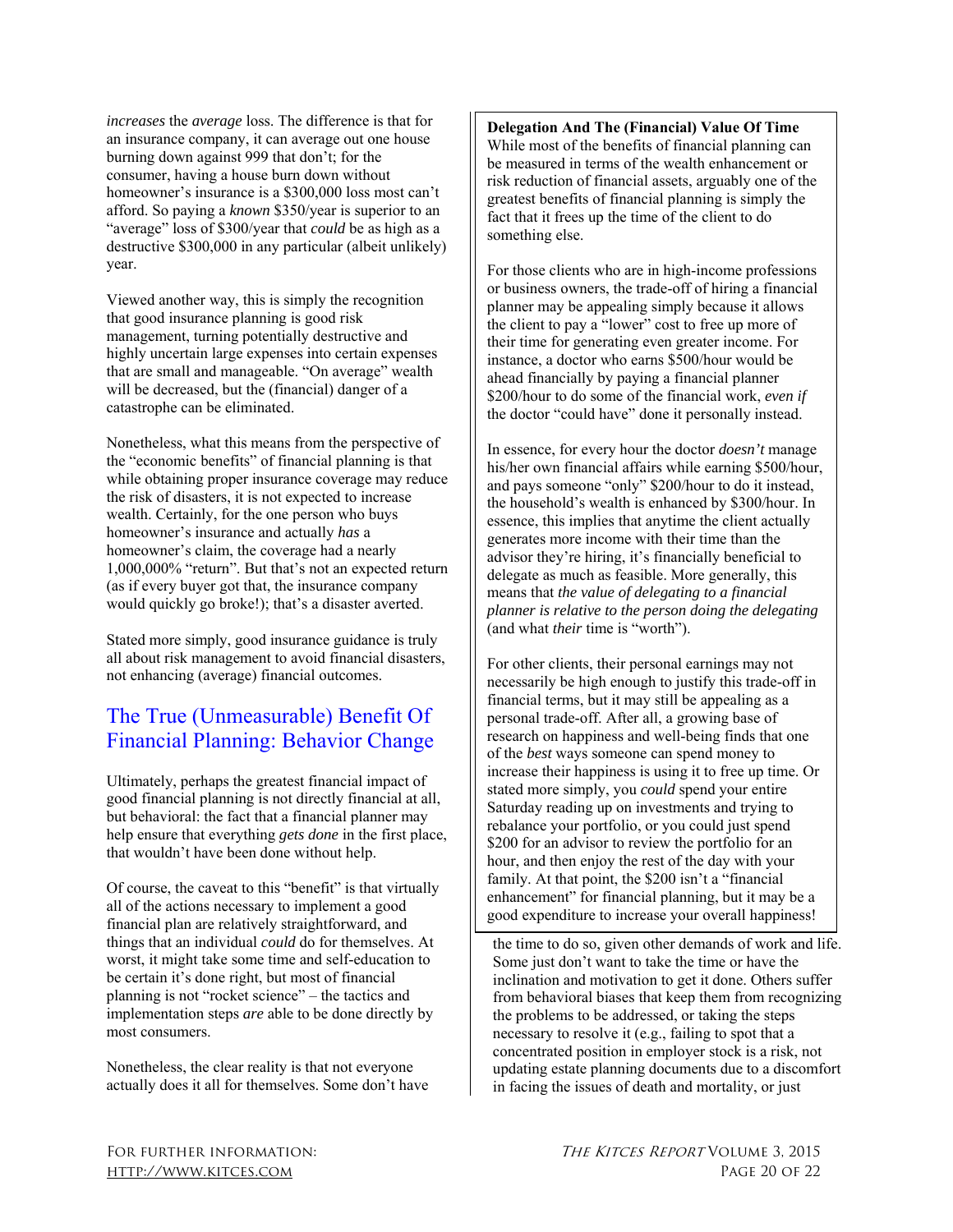*increases* the *average* loss. The difference is that for an insurance company, it can average out one house burning down against 999 that don't; for the consumer, having a house burn down without homeowner's insurance is a \$300,000 loss most can't afford. So paying a *known* \$350/year is superior to an "average" loss of \$300/year that *could* be as high as a destructive \$300,000 in any particular (albeit unlikely) year.

Viewed another way, this is simply the recognition that good insurance planning is good risk management, turning potentially destructive and highly uncertain large expenses into certain expenses that are small and manageable. "On average" wealth will be decreased, but the (financial) danger of a catastrophe can be eliminated.

Nonetheless, what this means from the perspective of the "economic benefits" of financial planning is that while obtaining proper insurance coverage may reduce the risk of disasters, it is not expected to increase wealth. Certainly, for the one person who buys homeowner's insurance and actually *has* a homeowner's claim, the coverage had a nearly 1,000,000% "return". But that's not an expected return (as if every buyer got that, the insurance company would quickly go broke!); that's a disaster averted.

Stated more simply, good insurance guidance is truly all about risk management to avoid financial disasters, not enhancing (average) financial outcomes.

# The True (Unmeasurable) Benefit Of Financial Planning: Behavior Change

Ultimately, perhaps the greatest financial impact of good financial planning is not directly financial at all, but behavioral: the fact that a financial planner may help ensure that everything *gets done* in the first place, that wouldn't have been done without help.

Of course, the caveat to this "benefit" is that virtually all of the actions necessary to implement a good financial plan are relatively straightforward, and things that an individual *could* do for themselves. At worst, it might take some time and self-education to be certain it's done right, but most of financial planning is not "rocket science" – the tactics and implementation steps *are* able to be done directly by most consumers.

Nonetheless, the clear reality is that not everyone actually does it all for themselves. Some don't have **Delegation And The (Financial) Value Of Time**  While most of the benefits of financial planning can be measured in terms of the wealth enhancement or risk reduction of financial assets, arguably one of the greatest benefits of financial planning is simply the fact that it frees up the time of the client to do something else.

For those clients who are in high-income professions or business owners, the trade-off of hiring a financial planner may be appealing simply because it allows the client to pay a "lower" cost to free up more of their time for generating even greater income. For instance, a doctor who earns \$500/hour would be ahead financially by paying a financial planner \$200/hour to do some of the financial work, *even if*  the doctor "could have" done it personally instead.

In essence, for every hour the doctor *doesn't* manage his/her own financial affairs while earning \$500/hour, and pays someone "only" \$200/hour to do it instead, the household's wealth is enhanced by \$300/hour. In essence, this implies that anytime the client actually generates more income with their time than the advisor they're hiring, it's financially beneficial to delegate as much as feasible. More generally, this means that *the value of delegating to a financial planner is relative to the person doing the delegating* (and what *their* time is "worth").

For other clients, their personal earnings may not necessarily be high enough to justify this trade-off in financial terms, but it may still be appealing as a personal trade-off. After all, a growing base of research on happiness and well-being finds that one of the *best* ways someone can spend money to increase their happiness is using it to free up time. Or stated more simply, you *could* spend your entire Saturday reading up on investments and trying to rebalance your portfolio, or you could just spend \$200 for an advisor to review the portfolio for an hour, and then enjoy the rest of the day with your family. At that point, the \$200 isn't a "financial enhancement" for financial planning, but it may be a good expenditure to increase your overall happiness!

the time to do so, given other demands of work and life. Some just don't want to take the time or have the inclination and motivation to get it done. Others suffer from behavioral biases that keep them from recognizing the problems to be addressed, or taking the steps necessary to resolve it (e.g., failing to spot that a concentrated position in employer stock is a risk, not updating estate planning documents due to a discomfort in facing the issues of death and mortality, or just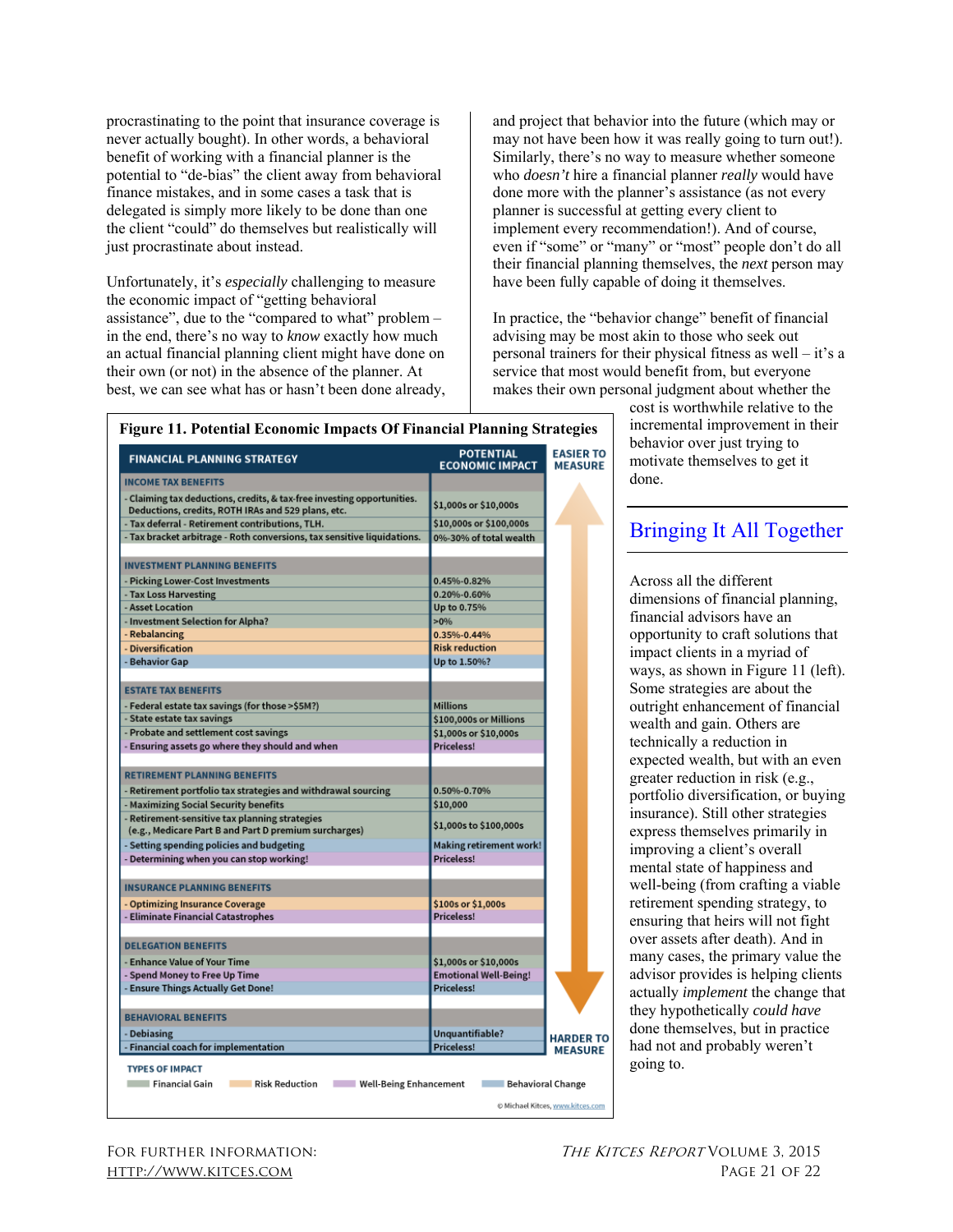procrastinating to the point that insurance coverage is never actually bought). In other words, a behavioral benefit of working with a financial planner is the potential to "de-bias" the client away from behavioral finance mistakes, and in some cases a task that is delegated is simply more likely to be done than one the client "could" do themselves but realistically will just procrastinate about instead.

Unfortunately, it's *especially* challenging to measure the economic impact of "getting behavioral assistance", due to the "compared to what" problem – in the end, there's no way to *know* exactly how much an actual financial planning client might have done on their own (or not) in the absence of the planner. At best, we can see what has or hasn't been done already, and project that behavior into the future (which may or may not have been how it was really going to turn out!). Similarly, there's no way to measure whether someone who *doesn't* hire a financial planner *really* would have done more with the planner's assistance (as not every planner is successful at getting every client to implement every recommendation!). And of course, even if "some" or "many" or "most" people don't do all their financial planning themselves, the *next* person may have been fully capable of doing it themselves.

In practice, the "behavior change" benefit of financial advising may be most akin to those who seek out personal trainers for their physical fitness as well – it's a service that most would benefit from, but everyone makes their own personal judgment about whether the

| <b>INCOME TAX BENEFITS</b><br>- Claiming tax deductions, credits, & tax-free investing opportunities.<br>Deductions, credits, ROTH IRAs and 529 plans, etc.<br>- Tax deferral - Retirement contributions, TLH.<br>- Tax bracket arbitrage - Roth conversions, tax sensitive liquidations.<br><b>INVESTMENT PLANNING BENEFITS</b><br>- Picking Lower-Cost Investments<br>- Tax Loss Harvesting | \$1,000s or \$10,000s<br>\$10,000s or \$100,000s<br>0%-30% of total wealth |                                    |
|-----------------------------------------------------------------------------------------------------------------------------------------------------------------------------------------------------------------------------------------------------------------------------------------------------------------------------------------------------------------------------------------------|----------------------------------------------------------------------------|------------------------------------|
|                                                                                                                                                                                                                                                                                                                                                                                               |                                                                            |                                    |
|                                                                                                                                                                                                                                                                                                                                                                                               |                                                                            |                                    |
|                                                                                                                                                                                                                                                                                                                                                                                               |                                                                            |                                    |
|                                                                                                                                                                                                                                                                                                                                                                                               |                                                                            |                                    |
|                                                                                                                                                                                                                                                                                                                                                                                               |                                                                            |                                    |
|                                                                                                                                                                                                                                                                                                                                                                                               | 0.45%-0.82%                                                                |                                    |
|                                                                                                                                                                                                                                                                                                                                                                                               | 0.20%-0.60%                                                                |                                    |
| - Asset Location                                                                                                                                                                                                                                                                                                                                                                              | Up to 0.75%                                                                |                                    |
| - Investment Selection for Alpha?                                                                                                                                                                                                                                                                                                                                                             | $>0\%$                                                                     |                                    |
| - Rebalancing                                                                                                                                                                                                                                                                                                                                                                                 | 0.35%-0.44%                                                                |                                    |
| - Diversification                                                                                                                                                                                                                                                                                                                                                                             | <b>Risk reduction</b>                                                      |                                    |
| - Behavior Gap                                                                                                                                                                                                                                                                                                                                                                                | Up to 1.50%?                                                               |                                    |
| <b>ESTATE TAX BENEFITS</b>                                                                                                                                                                                                                                                                                                                                                                    |                                                                            |                                    |
| - Federal estate tax savings (for those >\$5M?)                                                                                                                                                                                                                                                                                                                                               | <b>Millions</b>                                                            |                                    |
| - State estate tax savings                                                                                                                                                                                                                                                                                                                                                                    | \$100,000s or Millions                                                     |                                    |
| - Probate and settlement cost savings                                                                                                                                                                                                                                                                                                                                                         | \$1,000s or \$10,000s                                                      |                                    |
| - Ensuring assets go where they should and when                                                                                                                                                                                                                                                                                                                                               | <b>Priceless!</b>                                                          |                                    |
| <b>RETIREMENT PLANNING BENEFITS</b>                                                                                                                                                                                                                                                                                                                                                           |                                                                            |                                    |
| - Retirement portfolio tax strategies and withdrawal sourcing                                                                                                                                                                                                                                                                                                                                 | 0.50%-0.70%                                                                |                                    |
| - Maximizing Social Security benefits                                                                                                                                                                                                                                                                                                                                                         | \$10,000                                                                   |                                    |
| - Retirement-sensitive tax planning strategies<br>(e.g., Medicare Part B and Part D premium surcharges)                                                                                                                                                                                                                                                                                       | \$1,000s to \$100,000s                                                     |                                    |
| - Setting spending policies and budgeting                                                                                                                                                                                                                                                                                                                                                     | Making retirement work!                                                    |                                    |
| - Determining when you can stop working!                                                                                                                                                                                                                                                                                                                                                      | Priceless!                                                                 |                                    |
| <b>INSURANCE PLANNING BENEFITS</b>                                                                                                                                                                                                                                                                                                                                                            |                                                                            |                                    |
| - Optimizing Insurance Coverage                                                                                                                                                                                                                                                                                                                                                               | \$100s or \$1,000s                                                         |                                    |
| - Eliminate Financial Catastrophes                                                                                                                                                                                                                                                                                                                                                            | Priceless!                                                                 |                                    |
| <b>DELEGATION BENEFITS</b>                                                                                                                                                                                                                                                                                                                                                                    |                                                                            |                                    |
| - Enhance Value of Your Time                                                                                                                                                                                                                                                                                                                                                                  | \$1,000s or \$10,000s                                                      |                                    |
| - Spend Money to Free Up Time                                                                                                                                                                                                                                                                                                                                                                 | <b>Emotional Well-Being!</b>                                               |                                    |
| - Ensure Things Actually Get Done!                                                                                                                                                                                                                                                                                                                                                            | Priceless!                                                                 |                                    |
| <b>BEHAVIORAL BENEFITS</b>                                                                                                                                                                                                                                                                                                                                                                    |                                                                            |                                    |
| - Debiasing                                                                                                                                                                                                                                                                                                                                                                                   | Unquantifiable?                                                            |                                    |
| - Financial coach for implementation                                                                                                                                                                                                                                                                                                                                                          | <b>Priceless!</b>                                                          | <b>HARDER TO</b><br><b>MEASURE</b> |

cost is worthwhile relative to the incremental improvement in their behavior over just trying to motivate themselves to get it done.

## Bringing It All Together

Across all the different dimensions of financial planning, financial advisors have an opportunity to craft solutions that impact clients in a myriad of ways, as shown in Figure 11 (left). Some strategies are about the outright enhancement of financial wealth and gain. Others are technically a reduction in expected wealth, but with an even greater reduction in risk (e.g., portfolio diversification, or buying insurance). Still other strategies express themselves primarily in improving a client's overall mental state of happiness and well-being (from crafting a viable retirement spending strategy, to ensuring that heirs will not fight over assets after death). And in many cases, the primary value the advisor provides is helping clients actually *implement* the change that they hypothetically *could have*  done themselves, but in practice had not and probably weren't going to.